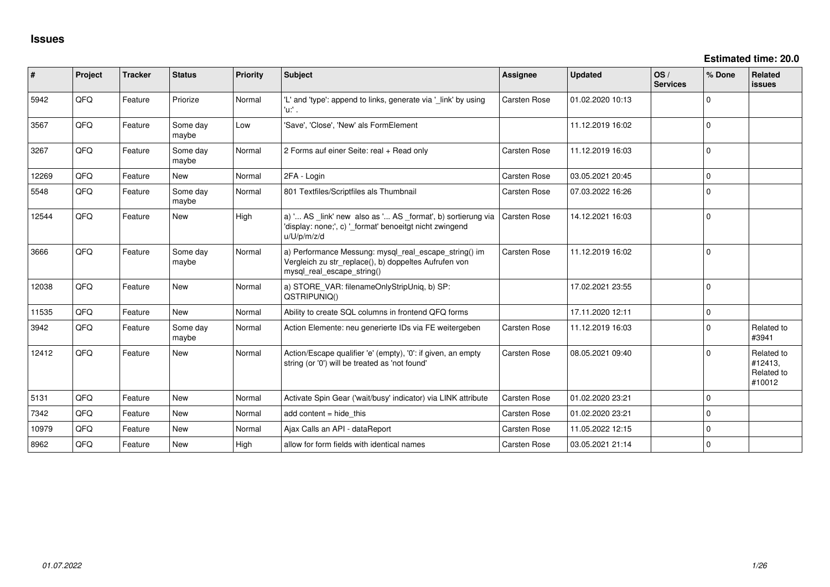| #     | Project    | <b>Tracker</b> | <b>Status</b>     | <b>Priority</b> | <b>Subject</b>                                                                                                                               | <b>Assignee</b>     | <b>Updated</b>   | OS/<br><b>Services</b> | % Done      | <b>Related</b><br><b>issues</b>               |
|-------|------------|----------------|-------------------|-----------------|----------------------------------------------------------------------------------------------------------------------------------------------|---------------------|------------------|------------------------|-------------|-----------------------------------------------|
| 5942  | QFQ        | Feature        | Priorize          | Normal          | 'L' and 'type': append to links, generate via '_link' by using<br>'u:' .                                                                     | Carsten Rose        | 01.02.2020 10:13 |                        | $\mathbf 0$ |                                               |
| 3567  | QFQ        | Feature        | Some day<br>maybe | Low             | 'Save', 'Close', 'New' als FormElement                                                                                                       |                     | 11.12.2019 16:02 |                        | $\mathbf 0$ |                                               |
| 3267  | QFQ        | Feature        | Some day<br>maybe | Normal          | 2 Forms auf einer Seite: real + Read only                                                                                                    | Carsten Rose        | 11.12.2019 16:03 |                        | $\mathbf 0$ |                                               |
| 12269 | QFQ        | Feature        | <b>New</b>        | Normal          | 2FA - Login                                                                                                                                  | Carsten Rose        | 03.05.2021 20:45 |                        | $\Omega$    |                                               |
| 5548  | QFQ        | Feature        | Some day<br>maybe | Normal          | 801 Textfiles/Scriptfiles als Thumbnail                                                                                                      | <b>Carsten Rose</b> | 07.03.2022 16:26 |                        | $\Omega$    |                                               |
| 12544 | QFQ        | Feature        | <b>New</b>        | High            | a) ' AS _link' new also as ' AS _format', b) sortierung via<br>'display: none;', c) ' format' benoeitgt nicht zwingend<br>u/U/p/m/z/d        | <b>Carsten Rose</b> | 14.12.2021 16:03 |                        | $\Omega$    |                                               |
| 3666  | QFQ        | Feature        | Some day<br>maybe | Normal          | a) Performance Messung: mysql_real_escape_string() im<br>Vergleich zu str_replace(), b) doppeltes Aufrufen von<br>mysql real escape string() | Carsten Rose        | 11.12.2019 16:02 |                        | $\Omega$    |                                               |
| 12038 | QFQ        | Feature        | <b>New</b>        | Normal          | a) STORE_VAR: filenameOnlyStripUniq, b) SP:<br>QSTRIPUNIQ()                                                                                  |                     | 17.02.2021 23:55 |                        | $\Omega$    |                                               |
| 11535 | <b>OFO</b> | Feature        | <b>New</b>        | Normal          | Ability to create SQL columns in frontend QFQ forms                                                                                          |                     | 17.11.2020 12:11 |                        | $\mathbf 0$ |                                               |
| 3942  | QFQ        | Feature        | Some day<br>maybe | Normal          | Action Elemente: neu generierte IDs via FE weitergeben                                                                                       | Carsten Rose        | 11.12.2019 16:03 |                        | $\Omega$    | Related to<br>#3941                           |
| 12412 | QFQ        | Feature        | <b>New</b>        | Normal          | Action/Escape qualifier 'e' (empty), '0': if given, an empty<br>string (or '0') will be treated as 'not found'                               | <b>Carsten Rose</b> | 08.05.2021 09:40 |                        | $\Omega$    | Related to<br>#12413.<br>Related to<br>#10012 |
| 5131  | QFQ        | Feature        | New               | Normal          | Activate Spin Gear ('wait/busy' indicator) via LINK attribute                                                                                | Carsten Rose        | 01.02.2020 23:21 |                        | $\mathbf 0$ |                                               |
| 7342  | QFQ        | Feature        | <b>New</b>        | Normal          | add content $=$ hide this                                                                                                                    | Carsten Rose        | 01.02.2020 23:21 |                        | $\mathbf 0$ |                                               |
| 10979 | QFQ        | Feature        | <b>New</b>        | Normal          | Ajax Calls an API - dataReport                                                                                                               | Carsten Rose        | 11.05.2022 12:15 |                        | $\mathbf 0$ |                                               |
| 8962  | QFQ        | Feature        | <b>New</b>        | High            | allow for form fields with identical names                                                                                                   | Carsten Rose        | 03.05.2021 21:14 |                        | $\mathbf 0$ |                                               |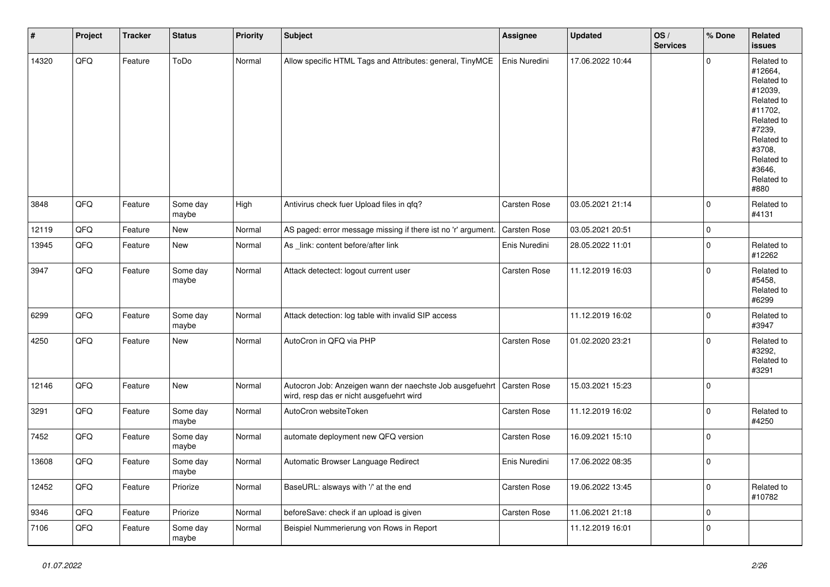| $\vert$ # | Project | <b>Tracker</b> | <b>Status</b>     | <b>Priority</b> | Subject                                                                                                             | <b>Assignee</b>     | <b>Updated</b>   | OS/<br><b>Services</b> | % Done      | Related<br><b>issues</b>                                                                                                                                              |
|-----------|---------|----------------|-------------------|-----------------|---------------------------------------------------------------------------------------------------------------------|---------------------|------------------|------------------------|-------------|-----------------------------------------------------------------------------------------------------------------------------------------------------------------------|
| 14320     | QFQ     | Feature        | ToDo              | Normal          | Allow specific HTML Tags and Attributes: general, TinyMCE                                                           | Enis Nuredini       | 17.06.2022 10:44 |                        | $\Omega$    | Related to<br>#12664,<br>Related to<br>#12039,<br>Related to<br>#11702,<br>Related to<br>#7239,<br>Related to<br>#3708.<br>Related to<br>#3646,<br>Related to<br>#880 |
| 3848      | QFQ     | Feature        | Some day<br>maybe | High            | Antivirus check fuer Upload files in qfq?                                                                           | Carsten Rose        | 03.05.2021 21:14 |                        | $\mathbf 0$ | Related to<br>#4131                                                                                                                                                   |
| 12119     | QFQ     | Feature        | <b>New</b>        | Normal          | AS paged: error message missing if there ist no 'r' argument.                                                       | Carsten Rose        | 03.05.2021 20:51 |                        | $\mathbf 0$ |                                                                                                                                                                       |
| 13945     | QFQ     | Feature        | New               | Normal          | As link: content before/after link                                                                                  | Enis Nuredini       | 28.05.2022 11:01 |                        | $\mathbf 0$ | Related to<br>#12262                                                                                                                                                  |
| 3947      | QFQ     | Feature        | Some day<br>maybe | Normal          | Attack detectect: logout current user                                                                               | Carsten Rose        | 11.12.2019 16:03 |                        | $\mathbf 0$ | Related to<br>#5458.<br>Related to<br>#6299                                                                                                                           |
| 6299      | QFQ     | Feature        | Some day<br>maybe | Normal          | Attack detection: log table with invalid SIP access                                                                 |                     | 11.12.2019 16:02 |                        | $\mathbf 0$ | Related to<br>#3947                                                                                                                                                   |
| 4250      | QFQ     | Feature        | New               | Normal          | AutoCron in QFQ via PHP                                                                                             | <b>Carsten Rose</b> | 01.02.2020 23:21 |                        | $\mathbf 0$ | Related to<br>#3292,<br>Related to<br>#3291                                                                                                                           |
| 12146     | QFQ     | Feature        | New               | Normal          | Autocron Job: Anzeigen wann der naechste Job ausgefuehrt   Carsten Rose<br>wird, resp das er nicht ausgefuehrt wird |                     | 15.03.2021 15:23 |                        | $\pmb{0}$   |                                                                                                                                                                       |
| 3291      | QFQ     | Feature        | Some day<br>maybe | Normal          | AutoCron websiteToken                                                                                               | Carsten Rose        | 11.12.2019 16:02 |                        | $\mathbf 0$ | Related to<br>#4250                                                                                                                                                   |
| 7452      | QFQ     | Feature        | Some day<br>maybe | Normal          | automate deployment new QFQ version                                                                                 | Carsten Rose        | 16.09.2021 15:10 |                        | $\mathbf 0$ |                                                                                                                                                                       |
| 13608     | QFQ     | Feature        | Some day<br>maybe | Normal          | Automatic Browser Language Redirect                                                                                 | Enis Nuredini       | 17.06.2022 08:35 |                        | $\mathbf 0$ |                                                                                                                                                                       |
| 12452     | QFQ     | Feature        | Priorize          | Normal          | BaseURL: alsways with '/' at the end                                                                                | Carsten Rose        | 19.06.2022 13:45 |                        | $\pmb{0}$   | Related to<br>#10782                                                                                                                                                  |
| 9346      | QFQ     | Feature        | Priorize          | Normal          | beforeSave: check if an upload is given                                                                             | Carsten Rose        | 11.06.2021 21:18 |                        | $\mathbf 0$ |                                                                                                                                                                       |
| 7106      | QFQ     | Feature        | Some day<br>maybe | Normal          | Beispiel Nummerierung von Rows in Report                                                                            |                     | 11.12.2019 16:01 |                        | $\mathbf 0$ |                                                                                                                                                                       |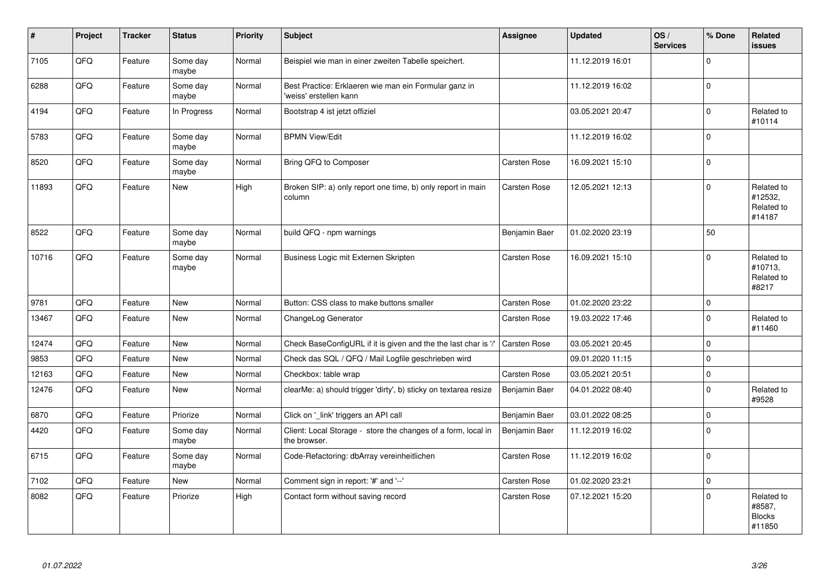| #     | Project | <b>Tracker</b> | <b>Status</b>     | <b>Priority</b> | <b>Subject</b>                                                                  | <b>Assignee</b>     | <b>Updated</b>   | OS/<br><b>Services</b> | % Done      | <b>Related</b><br><b>issues</b>                 |
|-------|---------|----------------|-------------------|-----------------|---------------------------------------------------------------------------------|---------------------|------------------|------------------------|-------------|-------------------------------------------------|
| 7105  | QFQ     | Feature        | Some day<br>maybe | Normal          | Beispiel wie man in einer zweiten Tabelle speichert.                            |                     | 11.12.2019 16:01 |                        | $\Omega$    |                                                 |
| 6288  | QFQ     | Feature        | Some day<br>maybe | Normal          | Best Practice: Erklaeren wie man ein Formular ganz in<br>'weiss' erstellen kann |                     | 11.12.2019 16:02 |                        | $\mathbf 0$ |                                                 |
| 4194  | QFQ     | Feature        | In Progress       | Normal          | Bootstrap 4 ist jetzt offiziel                                                  |                     | 03.05.2021 20:47 |                        | $\pmb{0}$   | Related to<br>#10114                            |
| 5783  | QFQ     | Feature        | Some day<br>maybe | Normal          | <b>BPMN View/Edit</b>                                                           |                     | 11.12.2019 16:02 |                        | $\Omega$    |                                                 |
| 8520  | QFQ     | Feature        | Some day<br>maybe | Normal          | Bring QFQ to Composer                                                           | Carsten Rose        | 16.09.2021 15:10 |                        | $\mathbf 0$ |                                                 |
| 11893 | QFQ     | Feature        | New               | High            | Broken SIP: a) only report one time, b) only report in main<br>column           | Carsten Rose        | 12.05.2021 12:13 |                        | $\mathbf 0$ | Related to<br>#12532,<br>Related to<br>#14187   |
| 8522  | QFQ     | Feature        | Some day<br>maybe | Normal          | build QFQ - npm warnings                                                        | Benjamin Baer       | 01.02.2020 23:19 |                        | 50          |                                                 |
| 10716 | QFQ     | Feature        | Some day<br>maybe | Normal          | Business Logic mit Externen Skripten                                            | <b>Carsten Rose</b> | 16.09.2021 15:10 |                        | $\mathbf 0$ | Related to<br>#10713,<br>Related to<br>#8217    |
| 9781  | QFQ     | Feature        | <b>New</b>        | Normal          | Button: CSS class to make buttons smaller                                       | <b>Carsten Rose</b> | 01.02.2020 23:22 |                        | $\mathbf 0$ |                                                 |
| 13467 | QFQ     | Feature        | New               | Normal          | ChangeLog Generator                                                             | Carsten Rose        | 19.03.2022 17:46 |                        | $\mathbf 0$ | Related to<br>#11460                            |
| 12474 | QFQ     | Feature        | <b>New</b>        | Normal          | Check BaseConfigURL if it is given and the the last char is '/'                 | Carsten Rose        | 03.05.2021 20:45 |                        | $\mathbf 0$ |                                                 |
| 9853  | QFQ     | Feature        | New               | Normal          | Check das SQL / QFQ / Mail Logfile geschrieben wird                             |                     | 09.01.2020 11:15 |                        | $\mathbf 0$ |                                                 |
| 12163 | QFQ     | Feature        | <b>New</b>        | Normal          | Checkbox: table wrap                                                            | Carsten Rose        | 03.05.2021 20:51 |                        | $\mathbf 0$ |                                                 |
| 12476 | QFQ     | Feature        | New               | Normal          | clearMe: a) should trigger 'dirty', b) sticky on textarea resize                | Benjamin Baer       | 04.01.2022 08:40 |                        | $\pmb{0}$   | Related to<br>#9528                             |
| 6870  | QFQ     | Feature        | Priorize          | Normal          | Click on '_link' triggers an API call                                           | Benjamin Baer       | 03.01.2022 08:25 |                        | $\mathbf 0$ |                                                 |
| 4420  | QFQ     | Feature        | Some day<br>maybe | Normal          | Client: Local Storage - store the changes of a form, local in<br>the browser.   | Benjamin Baer       | 11.12.2019 16:02 |                        | $\mathsf 0$ |                                                 |
| 6715  | QFQ     | Feature        | Some day<br>maybe | Normal          | Code-Refactoring: dbArray vereinheitlichen                                      | Carsten Rose        | 11.12.2019 16:02 |                        | $\mathbf 0$ |                                                 |
| 7102  | QFQ     | Feature        | New               | Normal          | Comment sign in report: '#' and '--'                                            | Carsten Rose        | 01.02.2020 23:21 |                        | $\mathbf 0$ |                                                 |
| 8082  | QFQ     | Feature        | Priorize          | High            | Contact form without saving record                                              | Carsten Rose        | 07.12.2021 15:20 |                        | $\mathbf 0$ | Related to<br>#8587,<br><b>Blocks</b><br>#11850 |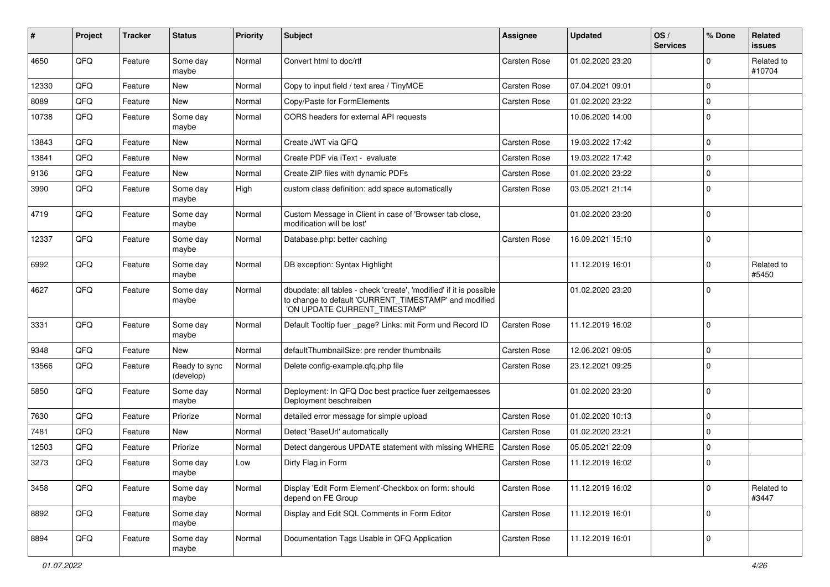| #     | Project | <b>Tracker</b> | <b>Status</b>              | <b>Priority</b> | Subject                                                                                                                                                       | <b>Assignee</b>     | <b>Updated</b>   | OS/<br><b>Services</b> | % Done      | Related<br>issues    |
|-------|---------|----------------|----------------------------|-----------------|---------------------------------------------------------------------------------------------------------------------------------------------------------------|---------------------|------------------|------------------------|-------------|----------------------|
| 4650  | QFQ     | Feature        | Some day<br>maybe          | Normal          | Convert html to doc/rtf                                                                                                                                       | <b>Carsten Rose</b> | 01.02.2020 23:20 |                        | 0           | Related to<br>#10704 |
| 12330 | QFQ     | Feature        | New                        | Normal          | Copy to input field / text area / TinyMCE                                                                                                                     | Carsten Rose        | 07.04.2021 09:01 |                        | 0           |                      |
| 8089  | QFQ     | Feature        | New                        | Normal          | Copy/Paste for FormElements                                                                                                                                   | Carsten Rose        | 01.02.2020 23:22 |                        | 0           |                      |
| 10738 | QFQ     | Feature        | Some day<br>maybe          | Normal          | CORS headers for external API requests                                                                                                                        |                     | 10.06.2020 14:00 |                        | 0           |                      |
| 13843 | QFQ     | Feature        | New                        | Normal          | Create JWT via QFQ                                                                                                                                            | Carsten Rose        | 19.03.2022 17:42 |                        | $\mathbf 0$ |                      |
| 13841 | QFQ     | Feature        | New                        | Normal          | Create PDF via iText - evaluate                                                                                                                               | Carsten Rose        | 19.03.2022 17:42 |                        | 0           |                      |
| 9136  | QFQ     | Feature        | New                        | Normal          | Create ZIP files with dynamic PDFs                                                                                                                            | Carsten Rose        | 01.02.2020 23:22 |                        | 0           |                      |
| 3990  | QFQ     | Feature        | Some day<br>maybe          | High            | custom class definition: add space automatically                                                                                                              | Carsten Rose        | 03.05.2021 21:14 |                        | 0           |                      |
| 4719  | QFQ     | Feature        | Some day<br>maybe          | Normal          | Custom Message in Client in case of 'Browser tab close,<br>modification will be lost'                                                                         |                     | 01.02.2020 23:20 |                        | $\Omega$    |                      |
| 12337 | QFQ     | Feature        | Some day<br>maybe          | Normal          | Database.php: better caching                                                                                                                                  | Carsten Rose        | 16.09.2021 15:10 |                        | 0           |                      |
| 6992  | QFQ     | Feature        | Some day<br>maybe          | Normal          | DB exception: Syntax Highlight                                                                                                                                |                     | 11.12.2019 16:01 |                        | 0           | Related to<br>#5450  |
| 4627  | QFQ     | Feature        | Some day<br>maybe          | Normal          | dbupdate: all tables - check 'create', 'modified' if it is possible<br>to change to default 'CURRENT_TIMESTAMP' and modified<br>'ON UPDATE CURRENT_TIMESTAMP' |                     | 01.02.2020 23:20 |                        | 0           |                      |
| 3331  | QFQ     | Feature        | Some day<br>maybe          | Normal          | Default Tooltip fuer _page? Links: mit Form und Record ID                                                                                                     | Carsten Rose        | 11.12.2019 16:02 |                        | $\Omega$    |                      |
| 9348  | QFQ     | Feature        | New                        | Normal          | defaultThumbnailSize: pre render thumbnails                                                                                                                   | Carsten Rose        | 12.06.2021 09:05 |                        | 0           |                      |
| 13566 | QFQ     | Feature        | Ready to sync<br>(develop) | Normal          | Delete config-example.qfq.php file                                                                                                                            | Carsten Rose        | 23.12.2021 09:25 |                        | 0           |                      |
| 5850  | QFQ     | Feature        | Some day<br>maybe          | Normal          | Deployment: In QFQ Doc best practice fuer zeitgemaesses<br>Deployment beschreiben                                                                             |                     | 01.02.2020 23:20 |                        | $\Omega$    |                      |
| 7630  | QFQ     | Feature        | Priorize                   | Normal          | detailed error message for simple upload                                                                                                                      | <b>Carsten Rose</b> | 01.02.2020 10:13 |                        | 0           |                      |
| 7481  | QFQ     | Feature        | New                        | Normal          | Detect 'BaseUrl' automatically                                                                                                                                | Carsten Rose        | 01.02.2020 23:21 |                        | $\mathbf 0$ |                      |
| 12503 | QFQ     | Feature        | Priorize                   | Normal          | Detect dangerous UPDATE statement with missing WHERE                                                                                                          | Carsten Rose        | 05.05.2021 22:09 |                        | $\mathbf 0$ |                      |
| 3273  | QFQ     | Feature        | Some day<br>maybe          | Low             | Dirty Flag in Form                                                                                                                                            | <b>Carsten Rose</b> | 11.12.2019 16:02 |                        | $\Omega$    |                      |
| 3458  | QFQ     | Feature        | Some day<br>maybe          | Normal          | Display 'Edit Form Element'-Checkbox on form: should<br>depend on FE Group                                                                                    | Carsten Rose        | 11.12.2019 16:02 |                        | $\mathbf 0$ | Related to<br>#3447  |
| 8892  | QFQ     | Feature        | Some day<br>maybe          | Normal          | Display and Edit SQL Comments in Form Editor                                                                                                                  | Carsten Rose        | 11.12.2019 16:01 |                        | 0           |                      |
| 8894  | QFQ     | Feature        | Some day<br>maybe          | Normal          | Documentation Tags Usable in QFQ Application                                                                                                                  | Carsten Rose        | 11.12.2019 16:01 |                        | 0           |                      |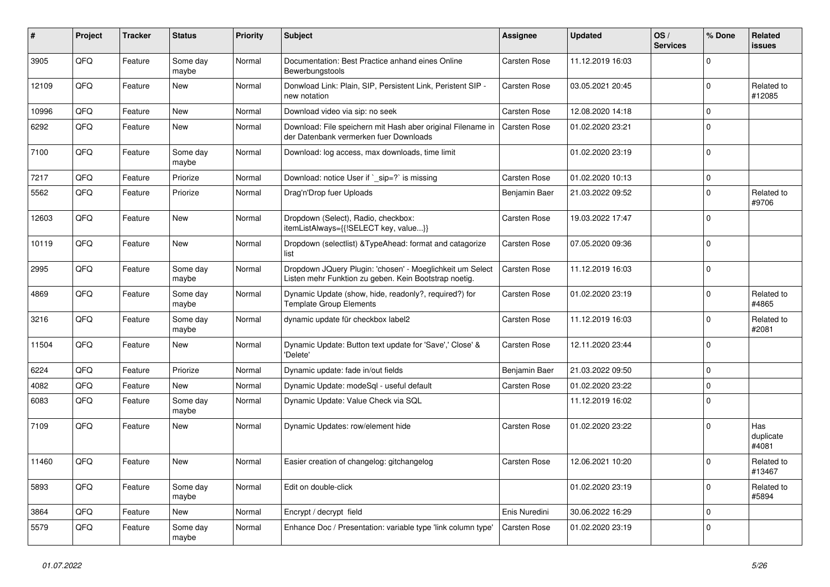| #     | Project | <b>Tracker</b> | <b>Status</b>     | <b>Priority</b> | <b>Subject</b>                                                                                                     | <b>Assignee</b> | <b>Updated</b>   | OS/<br><b>Services</b> | % Done      | Related<br><b>issues</b>  |
|-------|---------|----------------|-------------------|-----------------|--------------------------------------------------------------------------------------------------------------------|-----------------|------------------|------------------------|-------------|---------------------------|
| 3905  | QFQ     | Feature        | Some day<br>maybe | Normal          | Documentation: Best Practice anhand eines Online<br>Bewerbungstools                                                | Carsten Rose    | 11.12.2019 16:03 |                        | $\mathbf 0$ |                           |
| 12109 | QFQ     | Feature        | New               | Normal          | Donwload Link: Plain, SIP, Persistent Link, Peristent SIP -<br>new notation                                        | Carsten Rose    | 03.05.2021 20:45 |                        | $\mathbf 0$ | Related to<br>#12085      |
| 10996 | QFQ     | Feature        | <b>New</b>        | Normal          | Download video via sip: no seek                                                                                    | Carsten Rose    | 12.08.2020 14:18 |                        | $\mathbf 0$ |                           |
| 6292  | QFQ     | Feature        | New               | Normal          | Download: File speichern mit Hash aber original Filename in<br>der Datenbank vermerken fuer Downloads              | Carsten Rose    | 01.02.2020 23:21 |                        | $\mathbf 0$ |                           |
| 7100  | QFQ     | Feature        | Some day<br>maybe | Normal          | Download: log access, max downloads, time limit                                                                    |                 | 01.02.2020 23:19 |                        | $\mathbf 0$ |                           |
| 7217  | QFQ     | Feature        | Priorize          | Normal          | Download: notice User if `_sip=?` is missing                                                                       | Carsten Rose    | 01.02.2020 10:13 |                        | $\mathbf 0$ |                           |
| 5562  | QFQ     | Feature        | Priorize          | Normal          | Drag'n'Drop fuer Uploads                                                                                           | Benjamin Baer   | 21.03.2022 09:52 |                        | $\mathbf 0$ | Related to<br>#9706       |
| 12603 | QFQ     | Feature        | New               | Normal          | Dropdown (Select), Radio, checkbox:<br>itemListAlways={{!SELECT key, value}}                                       | Carsten Rose    | 19.03.2022 17:47 |                        | $\mathbf 0$ |                           |
| 10119 | QFQ     | Feature        | New               | Normal          | Dropdown (selectlist) & Type Ahead: format and catagorize<br>list                                                  | Carsten Rose    | 07.05.2020 09:36 |                        | $\mathbf 0$ |                           |
| 2995  | QFQ     | Feature        | Some day<br>maybe | Normal          | Dropdown JQuery Plugin: 'chosen' - Moeglichkeit um Select<br>Listen mehr Funktion zu geben. Kein Bootstrap noetig. | Carsten Rose    | 11.12.2019 16:03 |                        | $\mathbf 0$ |                           |
| 4869  | QFQ     | Feature        | Some day<br>maybe | Normal          | Dynamic Update (show, hide, readonly?, required?) for<br><b>Template Group Elements</b>                            | Carsten Rose    | 01.02.2020 23:19 |                        | $\mathbf 0$ | Related to<br>#4865       |
| 3216  | QFQ     | Feature        | Some day<br>maybe | Normal          | dynamic update für checkbox label2                                                                                 | Carsten Rose    | 11.12.2019 16:03 |                        | $\mathbf 0$ | Related to<br>#2081       |
| 11504 | QFQ     | Feature        | New               | Normal          | Dynamic Update: Button text update for 'Save',' Close' &<br>'Delete'                                               | Carsten Rose    | 12.11.2020 23:44 |                        | $\mathbf 0$ |                           |
| 6224  | QFQ     | Feature        | Priorize          | Normal          | Dynamic update: fade in/out fields                                                                                 | Benjamin Baer   | 21.03.2022 09:50 |                        | $\mathbf 0$ |                           |
| 4082  | QFQ     | Feature        | New               | Normal          | Dynamic Update: modeSql - useful default                                                                           | Carsten Rose    | 01.02.2020 23:22 |                        | $\mathbf 0$ |                           |
| 6083  | QFQ     | Feature        | Some day<br>maybe | Normal          | Dynamic Update: Value Check via SQL                                                                                |                 | 11.12.2019 16:02 |                        | $\mathbf 0$ |                           |
| 7109  | QFQ     | Feature        | New               | Normal          | Dynamic Updates: row/element hide                                                                                  | Carsten Rose    | 01.02.2020 23:22 |                        | $\mathbf 0$ | Has<br>duplicate<br>#4081 |
| 11460 | QFQ     | Feature        | New               | Normal          | Easier creation of changelog: gitchangelog                                                                         | Carsten Rose    | 12.06.2021 10:20 |                        | $\mathbf 0$ | Related to<br> #13467     |
| 5893  | QFQ     | Feature        | Some day<br>maybe | Normal          | Edit on double-click                                                                                               |                 | 01.02.2020 23:19 |                        | $\mathbf 0$ | Related to<br>#5894       |
| 3864  | QFQ     | Feature        | New               | Normal          | Encrypt / decrypt field                                                                                            | Enis Nuredini   | 30.06.2022 16:29 |                        | $\mathbf 0$ |                           |
| 5579  | QFQ     | Feature        | Some day<br>maybe | Normal          | Enhance Doc / Presentation: variable type 'link column type'                                                       | Carsten Rose    | 01.02.2020 23:19 |                        | 0           |                           |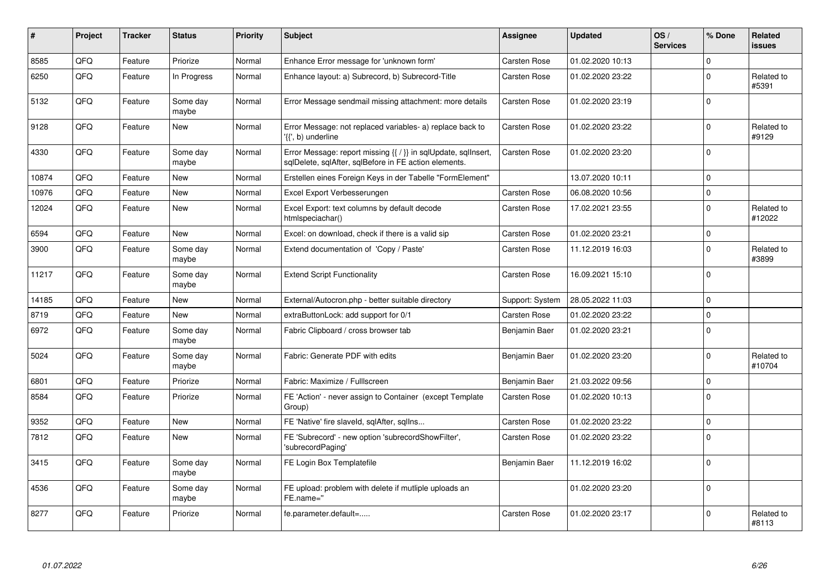| $\vert$ # | Project | <b>Tracker</b> | <b>Status</b>     | <b>Priority</b> | <b>Subject</b>                                                                                                          | <b>Assignee</b>     | <b>Updated</b>   | OS/<br><b>Services</b> | % Done      | <b>Related</b><br><b>issues</b> |
|-----------|---------|----------------|-------------------|-----------------|-------------------------------------------------------------------------------------------------------------------------|---------------------|------------------|------------------------|-------------|---------------------------------|
| 8585      | QFQ     | Feature        | Priorize          | Normal          | Enhance Error message for 'unknown form'                                                                                | <b>Carsten Rose</b> | 01.02.2020 10:13 |                        | $\mathbf 0$ |                                 |
| 6250      | QFQ     | Feature        | In Progress       | Normal          | Enhance layout: a) Subrecord, b) Subrecord-Title                                                                        | Carsten Rose        | 01.02.2020 23:22 |                        | $\mathbf 0$ | Related to<br>#5391             |
| 5132      | QFQ     | Feature        | Some day<br>maybe | Normal          | Error Message sendmail missing attachment: more details                                                                 | Carsten Rose        | 01.02.2020 23:19 |                        | $\Omega$    |                                 |
| 9128      | QFQ     | Feature        | New               | Normal          | Error Message: not replaced variables- a) replace back to<br>'{{', b) underline                                         | Carsten Rose        | 01.02.2020 23:22 |                        | $\mathbf 0$ | Related to<br>#9129             |
| 4330      | QFQ     | Feature        | Some day<br>maybe | Normal          | Error Message: report missing {{ / }} in sqlUpdate, sqlInsert,<br>sqlDelete, sqlAfter, sqlBefore in FE action elements. | Carsten Rose        | 01.02.2020 23:20 |                        | $\mathbf 0$ |                                 |
| 10874     | QFQ     | Feature        | New               | Normal          | Erstellen eines Foreign Keys in der Tabelle "FormElement"                                                               |                     | 13.07.2020 10:11 |                        | $\mathbf 0$ |                                 |
| 10976     | QFQ     | Feature        | New               | Normal          | Excel Export Verbesserungen                                                                                             | Carsten Rose        | 06.08.2020 10:56 |                        | $\mathbf 0$ |                                 |
| 12024     | QFQ     | Feature        | New               | Normal          | Excel Export: text columns by default decode<br>htmlspeciachar()                                                        | Carsten Rose        | 17.02.2021 23:55 |                        | $\mathbf 0$ | Related to<br>#12022            |
| 6594      | QFQ     | Feature        | New               | Normal          | Excel: on download, check if there is a valid sip                                                                       | <b>Carsten Rose</b> | 01.02.2020 23:21 |                        | $\mathbf 0$ |                                 |
| 3900      | QFQ     | Feature        | Some day<br>maybe | Normal          | Extend documentation of 'Copy / Paste'                                                                                  | Carsten Rose        | 11.12.2019 16:03 |                        | $\mathbf 0$ | Related to<br>#3899             |
| 11217     | QFQ     | Feature        | Some day<br>maybe | Normal          | <b>Extend Script Functionality</b>                                                                                      | Carsten Rose        | 16.09.2021 15:10 |                        | $\Omega$    |                                 |
| 14185     | QFQ     | Feature        | <b>New</b>        | Normal          | External/Autocron.php - better suitable directory                                                                       | Support: System     | 28.05.2022 11:03 |                        | $\mathbf 0$ |                                 |
| 8719      | QFQ     | Feature        | New               | Normal          | extraButtonLock: add support for 0/1                                                                                    | <b>Carsten Rose</b> | 01.02.2020 23:22 |                        | $\mathsf 0$ |                                 |
| 6972      | QFQ     | Feature        | Some day<br>maybe | Normal          | Fabric Clipboard / cross browser tab                                                                                    | Benjamin Baer       | 01.02.2020 23:21 |                        | $\mathbf 0$ |                                 |
| 5024      | QFQ     | Feature        | Some day<br>maybe | Normal          | Fabric: Generate PDF with edits                                                                                         | Benjamin Baer       | 01.02.2020 23:20 |                        | $\Omega$    | Related to<br>#10704            |
| 6801      | QFQ     | Feature        | Priorize          | Normal          | Fabric: Maximize / Fulllscreen                                                                                          | Benjamin Baer       | 21.03.2022 09:56 |                        | $\mathbf 0$ |                                 |
| 8584      | QFQ     | Feature        | Priorize          | Normal          | FE 'Action' - never assign to Container (except Template<br>Group)                                                      | Carsten Rose        | 01.02.2020 10:13 |                        | $\Omega$    |                                 |
| 9352      | QFQ     | Feature        | New               | Normal          | FE 'Native' fire slaveld, sqlAfter, sqllns                                                                              | Carsten Rose        | 01.02.2020 23:22 |                        | $\mathsf 0$ |                                 |
| 7812      | QFQ     | Feature        | New               | Normal          | FE 'Subrecord' - new option 'subrecordShowFilter',<br>'subrecordPaging'                                                 | Carsten Rose        | 01.02.2020 23:22 |                        | $\mathbf 0$ |                                 |
| 3415      | QFQ     | Feature        | Some day<br>maybe | Normal          | FE Login Box Templatefile                                                                                               | Benjamin Baer       | 11.12.2019 16:02 |                        | $\mathbf 0$ |                                 |
| 4536      | QFQ     | Feature        | Some day<br>maybe | Normal          | FE upload: problem with delete if mutliple uploads an<br>FE.name="                                                      |                     | 01.02.2020 23:20 |                        | $\mathbf 0$ |                                 |
| 8277      | QFQ     | Feature        | Priorize          | Normal          | fe.parameter.default=                                                                                                   | <b>Carsten Rose</b> | 01.02.2020 23:17 |                        | $\mathbf 0$ | Related to<br>#8113             |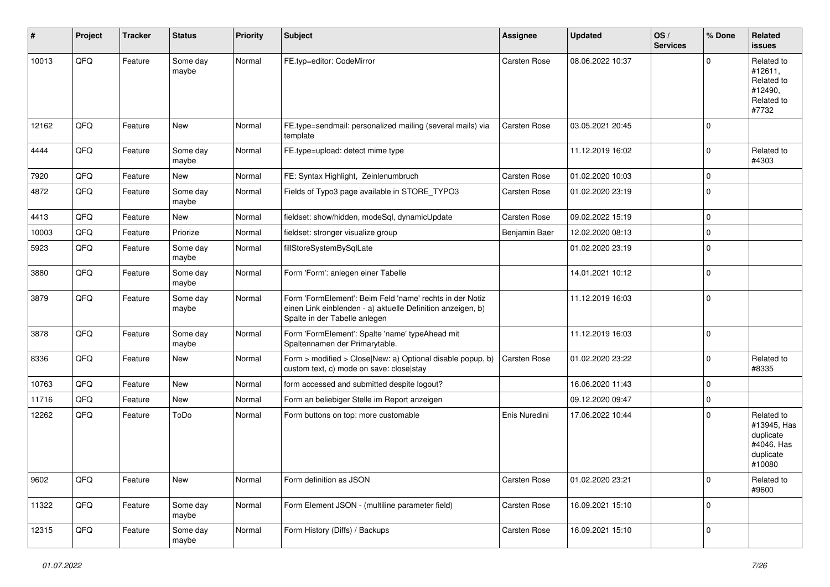| #     | Project | <b>Tracker</b> | <b>Status</b>     | <b>Priority</b> | <b>Subject</b>                                                                                                                                           | <b>Assignee</b> | <b>Updated</b>   | OS/<br><b>Services</b> | % Done      | Related<br><b>issues</b>                                                    |
|-------|---------|----------------|-------------------|-----------------|----------------------------------------------------------------------------------------------------------------------------------------------------------|-----------------|------------------|------------------------|-------------|-----------------------------------------------------------------------------|
| 10013 | QFQ     | Feature        | Some day<br>maybe | Normal          | FE.typ=editor: CodeMirror                                                                                                                                | Carsten Rose    | 08.06.2022 10:37 |                        | $\mathbf 0$ | Related to<br>#12611,<br>Related to<br>#12490,<br>Related to<br>#7732       |
| 12162 | QFQ     | Feature        | <b>New</b>        | Normal          | FE.type=sendmail: personalized mailing (several mails) via<br>template                                                                                   | Carsten Rose    | 03.05.2021 20:45 |                        | $\mathbf 0$ |                                                                             |
| 4444  | QFQ     | Feature        | Some day<br>maybe | Normal          | FE.type=upload: detect mime type                                                                                                                         |                 | 11.12.2019 16:02 |                        | $\mathbf 0$ | Related to<br>#4303                                                         |
| 7920  | QFQ     | Feature        | <b>New</b>        | Normal          | FE: Syntax Highlight, Zeinlenumbruch                                                                                                                     | Carsten Rose    | 01.02.2020 10:03 |                        | $\mathbf 0$ |                                                                             |
| 4872  | QFQ     | Feature        | Some day<br>maybe | Normal          | Fields of Typo3 page available in STORE_TYPO3                                                                                                            | Carsten Rose    | 01.02.2020 23:19 |                        | $\mathbf 0$ |                                                                             |
| 4413  | QFQ     | Feature        | New               | Normal          | fieldset: show/hidden, modeSql, dynamicUpdate                                                                                                            | Carsten Rose    | 09.02.2022 15:19 |                        | $\mathbf 0$ |                                                                             |
| 10003 | QFQ     | Feature        | Priorize          | Normal          | fieldset: stronger visualize group                                                                                                                       | Benjamin Baer   | 12.02.2020 08:13 |                        | $\mathbf 0$ |                                                                             |
| 5923  | QFQ     | Feature        | Some day<br>maybe | Normal          | fillStoreSystemBySqlLate                                                                                                                                 |                 | 01.02.2020 23:19 |                        | $\mathbf 0$ |                                                                             |
| 3880  | QFQ     | Feature        | Some day<br>maybe | Normal          | Form 'Form': anlegen einer Tabelle                                                                                                                       |                 | 14.01.2021 10:12 |                        | $\mathbf 0$ |                                                                             |
| 3879  | QFQ     | Feature        | Some day<br>maybe | Normal          | Form 'FormElement': Beim Feld 'name' rechts in der Notiz<br>einen Link einblenden - a) aktuelle Definition anzeigen, b)<br>Spalte in der Tabelle anlegen |                 | 11.12.2019 16:03 |                        | $\mathbf 0$ |                                                                             |
| 3878  | QFQ     | Feature        | Some day<br>maybe | Normal          | Form 'FormElement': Spalte 'name' typeAhead mit<br>Spaltennamen der Primarytable.                                                                        |                 | 11.12.2019 16:03 |                        | $\mathbf 0$ |                                                                             |
| 8336  | QFQ     | Feature        | <b>New</b>        | Normal          | Form > modified > Close New: a) Optional disable popup, b)<br>custom text, c) mode on save: close stay                                                   | Carsten Rose    | 01.02.2020 23:22 |                        | $\mathbf 0$ | Related to<br>#8335                                                         |
| 10763 | QFQ     | Feature        | <b>New</b>        | Normal          | form accessed and submitted despite logout?                                                                                                              |                 | 16.06.2020 11:43 |                        | $\mathbf 0$ |                                                                             |
| 11716 | QFQ     | Feature        | New               | Normal          | Form an beliebiger Stelle im Report anzeigen                                                                                                             |                 | 09.12.2020 09:47 |                        | $\mathbf 0$ |                                                                             |
| 12262 | QFQ     | Feature        | ToDo              | Normal          | Form buttons on top: more customable                                                                                                                     | Enis Nuredini   | 17.06.2022 10:44 |                        | $\mathbf 0$ | Related to<br>#13945, Has<br>duplicate<br>#4046, Has<br>duplicate<br>#10080 |
| 9602  | QFQ     | Feature        | New               | Normal          | Form definition as JSON                                                                                                                                  | Carsten Rose    | 01.02.2020 23:21 |                        | $\mathbf 0$ | Related to<br>#9600                                                         |
| 11322 | QFQ     | Feature        | Some day<br>maybe | Normal          | Form Element JSON - (multiline parameter field)                                                                                                          | Carsten Rose    | 16.09.2021 15:10 |                        | $\mathsf 0$ |                                                                             |
| 12315 | QFG     | Feature        | Some day<br>maybe | Normal          | Form History (Diffs) / Backups                                                                                                                           | Carsten Rose    | 16.09.2021 15:10 |                        | $\mathbf 0$ |                                                                             |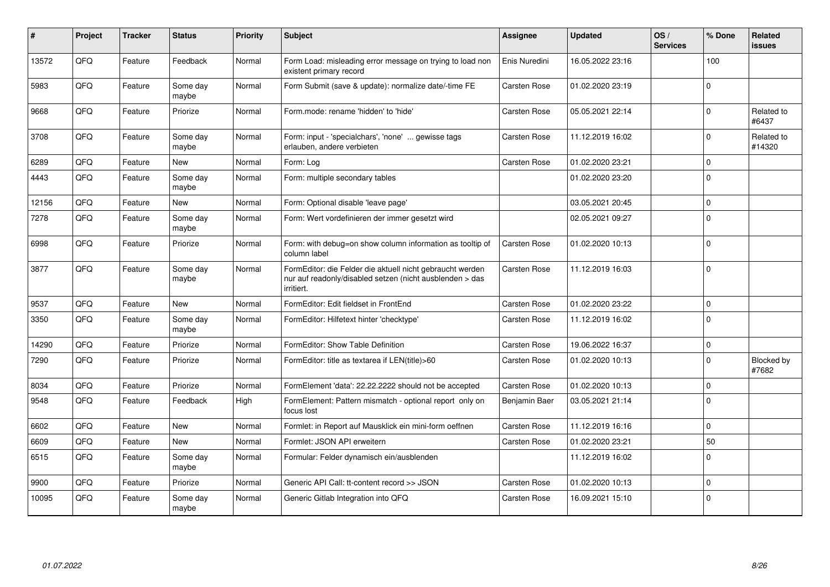| #     | Project | <b>Tracker</b> | <b>Status</b>     | <b>Priority</b> | <b>Subject</b>                                                                                                                      | <b>Assignee</b> | <b>Updated</b>   | OS/<br><b>Services</b> | % Done      | Related<br><b>issues</b> |
|-------|---------|----------------|-------------------|-----------------|-------------------------------------------------------------------------------------------------------------------------------------|-----------------|------------------|------------------------|-------------|--------------------------|
| 13572 | QFQ     | Feature        | Feedback          | Normal          | Form Load: misleading error message on trying to load non<br>existent primary record                                                | Enis Nuredini   | 16.05.2022 23:16 |                        | 100         |                          |
| 5983  | QFQ     | Feature        | Some day<br>maybe | Normal          | Form Submit (save & update): normalize date/-time FE                                                                                | Carsten Rose    | 01.02.2020 23:19 |                        | $\Omega$    |                          |
| 9668  | QFQ     | Feature        | Priorize          | Normal          | Form.mode: rename 'hidden' to 'hide'                                                                                                | Carsten Rose    | 05.05.2021 22:14 |                        | $\Omega$    | Related to<br>#6437      |
| 3708  | QFQ     | Feature        | Some day<br>maybe | Normal          | Form: input - 'specialchars', 'none'  gewisse tags<br>erlauben, andere verbieten                                                    | Carsten Rose    | 11.12.2019 16:02 |                        | $\Omega$    | Related to<br>#14320     |
| 6289  | QFQ     | Feature        | <b>New</b>        | Normal          | Form: Log                                                                                                                           | Carsten Rose    | 01.02.2020 23:21 |                        | $\mathbf 0$ |                          |
| 4443  | QFQ     | Feature        | Some day<br>maybe | Normal          | Form: multiple secondary tables                                                                                                     |                 | 01.02.2020 23:20 |                        | $\mathbf 0$ |                          |
| 12156 | QFQ     | Feature        | <b>New</b>        | Normal          | Form: Optional disable 'leave page'                                                                                                 |                 | 03.05.2021 20:45 |                        | $\Omega$    |                          |
| 7278  | QFQ     | Feature        | Some day<br>maybe | Normal          | Form: Wert vordefinieren der immer gesetzt wird                                                                                     |                 | 02.05.2021 09:27 |                        | $\Omega$    |                          |
| 6998  | QFQ     | Feature        | Priorize          | Normal          | Form: with debug=on show column information as tooltip of<br>column label                                                           | Carsten Rose    | 01.02.2020 10:13 |                        | $\Omega$    |                          |
| 3877  | QFQ     | Feature        | Some day<br>maybe | Normal          | FormEditor: die Felder die aktuell nicht gebraucht werden<br>nur auf readonly/disabled setzen (nicht ausblenden > das<br>irritiert. | Carsten Rose    | 11.12.2019 16:03 |                        | $\Omega$    |                          |
| 9537  | QFQ     | Feature        | <b>New</b>        | Normal          | FormEditor: Edit fieldset in FrontEnd                                                                                               | Carsten Rose    | 01.02.2020 23:22 |                        | $\mathbf 0$ |                          |
| 3350  | QFQ     | Feature        | Some day<br>maybe | Normal          | FormEditor: Hilfetext hinter 'checktype'                                                                                            | Carsten Rose    | 11.12.2019 16:02 |                        | $\Omega$    |                          |
| 14290 | QFQ     | Feature        | Priorize          | Normal          | FormEditor: Show Table Definition                                                                                                   | Carsten Rose    | 19.06.2022 16:37 |                        | $\pmb{0}$   |                          |
| 7290  | QFQ     | Feature        | Priorize          | Normal          | FormEditor: title as textarea if LEN(title)>60                                                                                      | Carsten Rose    | 01.02.2020 10:13 |                        | $\Omega$    | Blocked by<br>#7682      |
| 8034  | QFQ     | Feature        | Priorize          | Normal          | FormElement 'data': 22.22.2222 should not be accepted                                                                               | Carsten Rose    | 01.02.2020 10:13 |                        | $\mathbf 0$ |                          |
| 9548  | QFQ     | Feature        | Feedback          | High            | FormElement: Pattern mismatch - optional report only on<br>focus lost                                                               | Benjamin Baer   | 03.05.2021 21:14 |                        | $\Omega$    |                          |
| 6602  | QFQ     | Feature        | New               | Normal          | Formlet: in Report auf Mausklick ein mini-form oeffnen                                                                              | Carsten Rose    | 11.12.2019 16:16 |                        | $\Omega$    |                          |
| 6609  | QFQ     | Feature        | <b>New</b>        | Normal          | Formlet: JSON API erweitern                                                                                                         | Carsten Rose    | 01.02.2020 23:21 |                        | 50          |                          |
| 6515  | QFQ     | Feature        | Some day<br>maybe | Normal          | Formular: Felder dynamisch ein/ausblenden                                                                                           |                 | 11.12.2019 16:02 |                        | $\mathbf 0$ |                          |
| 9900  | QFQ     | Feature        | Priorize          | Normal          | Generic API Call: tt-content record >> JSON                                                                                         | Carsten Rose    | 01.02.2020 10:13 |                        | $\mathbf 0$ |                          |
| 10095 | QFQ     | Feature        | Some day<br>maybe | Normal          | Generic Gitlab Integration into QFQ                                                                                                 | Carsten Rose    | 16.09.2021 15:10 |                        | $\mathbf 0$ |                          |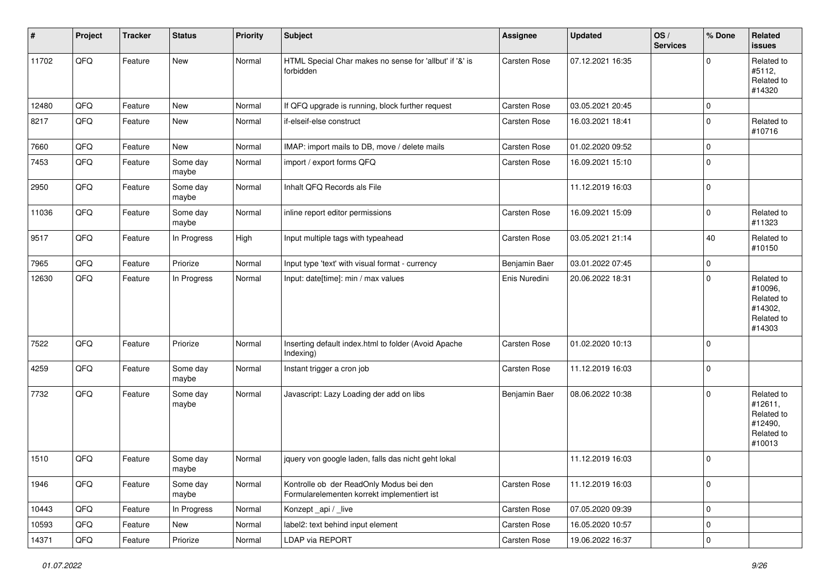| #     | Project        | <b>Tracker</b> | <b>Status</b>     | <b>Priority</b> | <b>Subject</b>                                                                         | <b>Assignee</b> | <b>Updated</b>   | OS/<br><b>Services</b> | % Done      | Related<br>issues                                                      |
|-------|----------------|----------------|-------------------|-----------------|----------------------------------------------------------------------------------------|-----------------|------------------|------------------------|-------------|------------------------------------------------------------------------|
| 11702 | QFQ            | Feature        | New               | Normal          | HTML Special Char makes no sense for 'allbut' if '&' is<br>forbidden                   | Carsten Rose    | 07.12.2021 16:35 |                        | $\Omega$    | Related to<br>#5112,<br>Related to<br>#14320                           |
| 12480 | QFQ            | Feature        | <b>New</b>        | Normal          | If QFQ upgrade is running, block further request                                       | Carsten Rose    | 03.05.2021 20:45 |                        | $\mathbf 0$ |                                                                        |
| 8217  | QFQ            | Feature        | New               | Normal          | if-elseif-else construct                                                               | Carsten Rose    | 16.03.2021 18:41 |                        | $\mathbf 0$ | Related to<br>#10716                                                   |
| 7660  | QFQ            | Feature        | New               | Normal          | IMAP: import mails to DB, move / delete mails                                          | Carsten Rose    | 01.02.2020 09:52 |                        | $\mathbf 0$ |                                                                        |
| 7453  | QFQ            | Feature        | Some day<br>maybe | Normal          | import / export forms QFQ                                                              | Carsten Rose    | 16.09.2021 15:10 |                        | $\mathbf 0$ |                                                                        |
| 2950  | QFQ            | Feature        | Some day<br>maybe | Normal          | Inhalt QFQ Records als File                                                            |                 | 11.12.2019 16:03 |                        | $\mathbf 0$ |                                                                        |
| 11036 | QFQ            | Feature        | Some day<br>maybe | Normal          | inline report editor permissions                                                       | Carsten Rose    | 16.09.2021 15:09 |                        | $\mathbf 0$ | Related to<br>#11323                                                   |
| 9517  | QFQ            | Feature        | In Progress       | High            | Input multiple tags with typeahead                                                     | Carsten Rose    | 03.05.2021 21:14 |                        | 40          | Related to<br>#10150                                                   |
| 7965  | QFQ            | Feature        | Priorize          | Normal          | Input type 'text' with visual format - currency                                        | Benjamin Baer   | 03.01.2022 07:45 |                        | $\mathbf 0$ |                                                                        |
| 12630 | QFO            | Feature        | In Progress       | Normal          | Input: date[time]: min / max values                                                    | Enis Nuredini   | 20.06.2022 18:31 |                        | $\Omega$    | Related to<br>#10096,<br>Related to<br>#14302,<br>Related to<br>#14303 |
| 7522  | QFQ            | Feature        | Priorize          | Normal          | Inserting default index.html to folder (Avoid Apache<br>Indexing)                      | Carsten Rose    | 01.02.2020 10:13 |                        | $\mathbf 0$ |                                                                        |
| 4259  | QFQ            | Feature        | Some day<br>maybe | Normal          | Instant trigger a cron job                                                             | Carsten Rose    | 11.12.2019 16:03 |                        | $\mathbf 0$ |                                                                        |
| 7732  | QFQ            | Feature        | Some day<br>maybe | Normal          | Javascript: Lazy Loading der add on libs                                               | Benjamin Baer   | 08.06.2022 10:38 |                        | $\Omega$    | Related to<br>#12611,<br>Related to<br>#12490,<br>Related to<br>#10013 |
| 1510  | QFQ            | Feature        | Some day<br>maybe | Normal          | jquery von google laden, falls das nicht geht lokal                                    |                 | 11.12.2019 16:03 |                        | $\mathbf 0$ |                                                                        |
| 1946  | QFQ            | Feature        | Some day<br>maybe | Normal          | Kontrolle ob der ReadOnly Modus bei den<br>Formularelementen korrekt implementiert ist | Carsten Rose    | 11.12.2019 16:03 |                        | $\mathbf 0$ |                                                                        |
| 10443 | QFQ            | Feature        | In Progress       | Normal          | Konzept_api / _live                                                                    | Carsten Rose    | 07.05.2020 09:39 |                        | $\mathbf 0$ |                                                                        |
| 10593 | QFQ            | Feature        | New               | Normal          | label2: text behind input element                                                      | Carsten Rose    | 16.05.2020 10:57 |                        | $\mathbf 0$ |                                                                        |
| 14371 | $\mathsf{QFQ}$ | Feature        | Priorize          | Normal          | LDAP via REPORT                                                                        | Carsten Rose    | 19.06.2022 16:37 |                        | $\mathbf 0$ |                                                                        |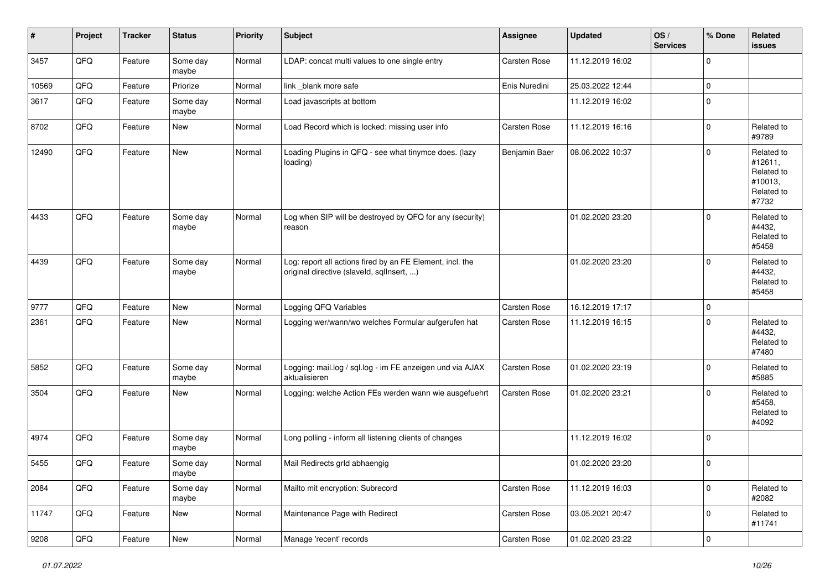| $\vert$ # | Project        | <b>Tracker</b> | <b>Status</b>     | <b>Priority</b> | <b>Subject</b>                                                                                         | Assignee      | <b>Updated</b>   | OS/<br><b>Services</b> | % Done      | <b>Related</b><br>issues                                              |
|-----------|----------------|----------------|-------------------|-----------------|--------------------------------------------------------------------------------------------------------|---------------|------------------|------------------------|-------------|-----------------------------------------------------------------------|
| 3457      | QFQ            | Feature        | Some day<br>maybe | Normal          | LDAP: concat multi values to one single entry                                                          | Carsten Rose  | 11.12.2019 16:02 |                        | $\Omega$    |                                                                       |
| 10569     | QFQ            | Feature        | Priorize          | Normal          | link_blank more safe                                                                                   | Enis Nuredini | 25.03.2022 12:44 |                        | $\mathbf 0$ |                                                                       |
| 3617      | QFQ            | Feature        | Some day<br>maybe | Normal          | Load javascripts at bottom                                                                             |               | 11.12.2019 16:02 |                        | $\mathbf 0$ |                                                                       |
| 8702      | QFQ            | Feature        | New               | Normal          | Load Record which is locked: missing user info                                                         | Carsten Rose  | 11.12.2019 16:16 |                        | 0           | Related to<br>#9789                                                   |
| 12490     | QFQ            | Feature        | New               | Normal          | Loading Plugins in QFQ - see what tinymce does. (lazy<br>loading)                                      | Benjamin Baer | 08.06.2022 10:37 |                        | $\Omega$    | Related to<br>#12611,<br>Related to<br>#10013,<br>Related to<br>#7732 |
| 4433      | QFQ            | Feature        | Some day<br>maybe | Normal          | Log when SIP will be destroyed by QFQ for any (security)<br>reason                                     |               | 01.02.2020 23:20 |                        | $\mathbf 0$ | Related to<br>#4432,<br>Related to<br>#5458                           |
| 4439      | QFQ            | Feature        | Some day<br>maybe | Normal          | Log: report all actions fired by an FE Element, incl. the<br>original directive (slaveld, sqllnsert, ) |               | 01.02.2020 23:20 |                        | $\Omega$    | Related to<br>#4432,<br>Related to<br>#5458                           |
| 9777      | QFQ            | Feature        | <b>New</b>        | Normal          | Logging QFQ Variables                                                                                  | Carsten Rose  | 16.12.2019 17:17 |                        | $\mathbf 0$ |                                                                       |
| 2361      | QFQ            | Feature        | New               | Normal          | Logging wer/wann/wo welches Formular aufgerufen hat                                                    | Carsten Rose  | 11.12.2019 16:15 |                        | $\Omega$    | Related to<br>#4432.<br>Related to<br>#7480                           |
| 5852      | QFQ            | Feature        | Some day<br>maybe | Normal          | Logging: mail.log / sql.log - im FE anzeigen und via AJAX<br>aktualisieren                             | Carsten Rose  | 01.02.2020 23:19 |                        | 0           | Related to<br>#5885                                                   |
| 3504      | QFQ            | Feature        | <b>New</b>        | Normal          | Logging: welche Action FEs werden wann wie ausgefuehrt                                                 | Carsten Rose  | 01.02.2020 23:21 |                        | $\Omega$    | Related to<br>#5458,<br>Related to<br>#4092                           |
| 4974      | QFQ            | Feature        | Some day<br>maybe | Normal          | Long polling - inform all listening clients of changes                                                 |               | 11.12.2019 16:02 |                        | $\mathbf 0$ |                                                                       |
| 5455      | QFQ            | Feature        | Some day<br>maybe | Normal          | Mail Redirects grld abhaengig                                                                          |               | 01.02.2020 23:20 |                        | $\mathbf 0$ |                                                                       |
| 2084      | QFQ            | Feature        | Some day<br>maybe | Normal          | Mailto mit encryption: Subrecord                                                                       | Carsten Rose  | 11.12.2019 16:03 |                        | 0           | Related to<br>#2082                                                   |
| 11747     | QFQ            | Feature        | New               | Normal          | Maintenance Page with Redirect                                                                         | Carsten Rose  | 03.05.2021 20:47 |                        | 0           | Related to<br>#11741                                                  |
| 9208      | $\mathsf{QFQ}$ | Feature        | New               | Normal          | Manage 'recent' records                                                                                | Carsten Rose  | 01.02.2020 23:22 |                        | 0           |                                                                       |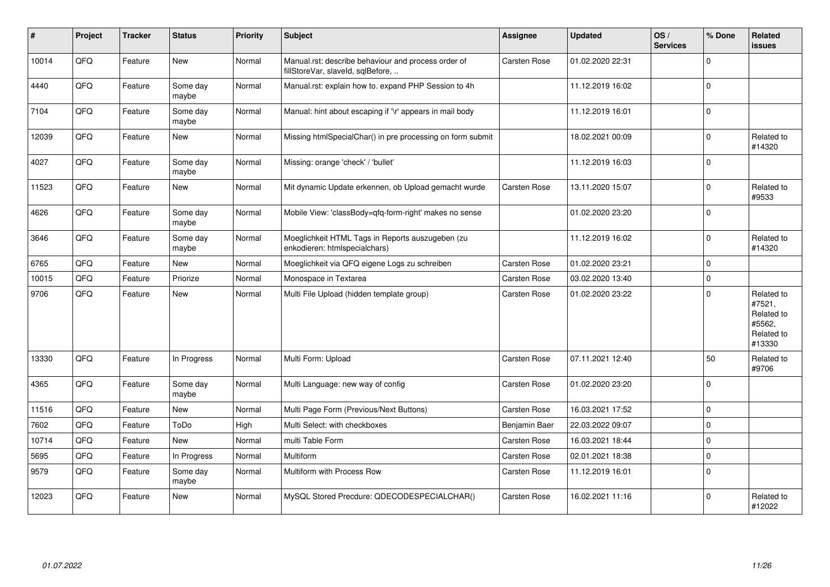| $\sharp$ | Project | <b>Tracker</b> | <b>Status</b>     | <b>Priority</b> | Subject                                                                                  | <b>Assignee</b>     | <b>Updated</b>   | OS/<br><b>Services</b> | % Done      | Related<br><b>issues</b>                                             |
|----------|---------|----------------|-------------------|-----------------|------------------------------------------------------------------------------------------|---------------------|------------------|------------------------|-------------|----------------------------------------------------------------------|
| 10014    | QFQ     | Feature        | <b>New</b>        | Normal          | Manual.rst: describe behaviour and process order of<br>fillStoreVar, slaveld, sqlBefore, | <b>Carsten Rose</b> | 01.02.2020 22:31 |                        | $\Omega$    |                                                                      |
| 4440     | QFQ     | Feature        | Some day<br>maybe | Normal          | Manual.rst: explain how to. expand PHP Session to 4h                                     |                     | 11.12.2019 16:02 |                        | $\Omega$    |                                                                      |
| 7104     | QFQ     | Feature        | Some day<br>maybe | Normal          | Manual: hint about escaping if '\r' appears in mail body                                 |                     | 11.12.2019 16:01 |                        | $\mathbf 0$ |                                                                      |
| 12039    | QFQ     | Feature        | <b>New</b>        | Normal          | Missing htmlSpecialChar() in pre processing on form submit                               |                     | 18.02.2021 00:09 |                        | $\Omega$    | Related to<br>#14320                                                 |
| 4027     | QFQ     | Feature        | Some day<br>maybe | Normal          | Missing: orange 'check' / 'bullet'                                                       |                     | 11.12.2019 16:03 |                        | $\mathbf 0$ |                                                                      |
| 11523    | QFQ     | Feature        | <b>New</b>        | Normal          | Mit dynamic Update erkennen, ob Upload gemacht wurde                                     | Carsten Rose        | 13.11.2020 15:07 |                        | $\mathbf 0$ | Related to<br>#9533                                                  |
| 4626     | QFQ     | Feature        | Some day<br>maybe | Normal          | Mobile View: 'classBody=qfq-form-right' makes no sense                                   |                     | 01.02.2020 23:20 |                        | $\mathbf 0$ |                                                                      |
| 3646     | QFQ     | Feature        | Some day<br>maybe | Normal          | Moeglichkeit HTML Tags in Reports auszugeben (zu<br>enkodieren: htmlspecialchars)        |                     | 11.12.2019 16:02 |                        | $\mathbf 0$ | Related to<br>#14320                                                 |
| 6765     | QFQ     | Feature        | New               | Normal          | Moeglichkeit via QFQ eigene Logs zu schreiben                                            | Carsten Rose        | 01.02.2020 23:21 |                        | $\mathbf 0$ |                                                                      |
| 10015    | QFQ     | Feature        | Priorize          | Normal          | Monospace in Textarea                                                                    | Carsten Rose        | 03.02.2020 13:40 |                        | $\mathbf 0$ |                                                                      |
| 9706     | QFQ     | Feature        | New               | Normal          | Multi File Upload (hidden template group)                                                | Carsten Rose        | 01.02.2020 23:22 |                        | $\mathbf 0$ | Related to<br>#7521,<br>Related to<br>#5562,<br>Related to<br>#13330 |
| 13330    | QFQ     | Feature        | In Progress       | Normal          | Multi Form: Upload                                                                       | Carsten Rose        | 07.11.2021 12:40 |                        | 50          | Related to<br>#9706                                                  |
| 4365     | QFQ     | Feature        | Some day<br>maybe | Normal          | Multi Language: new way of config                                                        | Carsten Rose        | 01.02.2020 23:20 |                        | $\mathbf 0$ |                                                                      |
| 11516    | QFQ     | Feature        | <b>New</b>        | Normal          | Multi Page Form (Previous/Next Buttons)                                                  | Carsten Rose        | 16.03.2021 17:52 |                        | $\mathbf 0$ |                                                                      |
| 7602     | QFQ     | Feature        | ToDo              | High            | Multi Select: with checkboxes                                                            | Benjamin Baer       | 22.03.2022 09:07 |                        | $\mathbf 0$ |                                                                      |
| 10714    | QFQ     | Feature        | New               | Normal          | multi Table Form                                                                         | Carsten Rose        | 16.03.2021 18:44 |                        | $\mathbf 0$ |                                                                      |
| 5695     | QFQ     | Feature        | In Progress       | Normal          | Multiform                                                                                | <b>Carsten Rose</b> | 02.01.2021 18:38 |                        | $\mathbf 0$ |                                                                      |
| 9579     | QFQ     | Feature        | Some day<br>maybe | Normal          | Multiform with Process Row                                                               | Carsten Rose        | 11.12.2019 16:01 |                        | $\mathbf 0$ |                                                                      |
| 12023    | QFQ     | Feature        | New               | Normal          | MySQL Stored Precdure: QDECODESPECIALCHAR()                                              | <b>Carsten Rose</b> | 16.02.2021 11:16 |                        | $\Omega$    | Related to<br>#12022                                                 |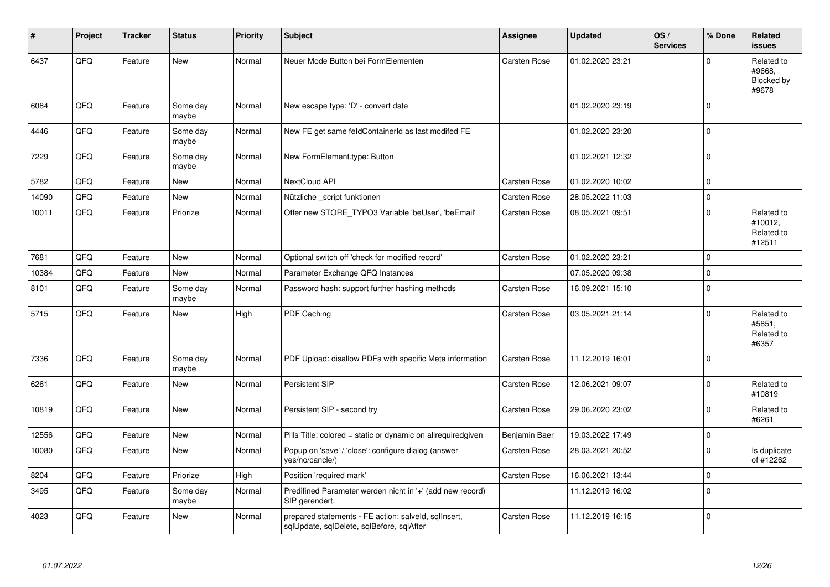| $\sharp$ | Project | <b>Tracker</b> | <b>Status</b>     | <b>Priority</b> | <b>Subject</b>                                                                                    | <b>Assignee</b> | <b>Updated</b>   | OS/<br><b>Services</b> | % Done      | Related<br><b>issues</b>                      |
|----------|---------|----------------|-------------------|-----------------|---------------------------------------------------------------------------------------------------|-----------------|------------------|------------------------|-------------|-----------------------------------------------|
| 6437     | QFQ     | Feature        | <b>New</b>        | Normal          | Neuer Mode Button bei FormElementen                                                               | Carsten Rose    | 01.02.2020 23:21 |                        | $\Omega$    | Related to<br>#9668,<br>Blocked by<br>#9678   |
| 6084     | QFQ     | Feature        | Some day<br>maybe | Normal          | New escape type: 'D' - convert date                                                               |                 | 01.02.2020 23:19 |                        | $\mathbf 0$ |                                               |
| 4446     | QFQ     | Feature        | Some day<br>maybe | Normal          | New FE get same feldContainerId as last modifed FE                                                |                 | 01.02.2020 23:20 |                        | $\pmb{0}$   |                                               |
| 7229     | QFQ     | Feature        | Some day<br>maybe | Normal          | New FormElement.type: Button                                                                      |                 | 01.02.2021 12:32 |                        | $\mathbf 0$ |                                               |
| 5782     | QFQ     | Feature        | New               | Normal          | NextCloud API                                                                                     | Carsten Rose    | 01.02.2020 10:02 |                        | $\mathbf 0$ |                                               |
| 14090    | QFQ     | Feature        | New               | Normal          | Nützliche _script funktionen                                                                      | Carsten Rose    | 28.05.2022 11:03 |                        | $\mathbf 0$ |                                               |
| 10011    | QFQ     | Feature        | Priorize          | Normal          | Offer new STORE_TYPO3 Variable 'beUser', 'beEmail'                                                | Carsten Rose    | 08.05.2021 09:51 |                        | $\mathbf 0$ | Related to<br>#10012,<br>Related to<br>#12511 |
| 7681     | QFQ     | Feature        | <b>New</b>        | Normal          | Optional switch off 'check for modified record'                                                   | Carsten Rose    | 01.02.2020 23:21 |                        | $\mathbf 0$ |                                               |
| 10384    | QFQ     | Feature        | New               | Normal          | Parameter Exchange QFQ Instances                                                                  |                 | 07.05.2020 09:38 |                        | $\mathbf 0$ |                                               |
| 8101     | QFQ     | Feature        | Some day<br>maybe | Normal          | Password hash: support further hashing methods                                                    | Carsten Rose    | 16.09.2021 15:10 |                        | $\mathbf 0$ |                                               |
| 5715     | QFQ     | Feature        | New               | High            | PDF Caching                                                                                       | Carsten Rose    | 03.05.2021 21:14 |                        | $\Omega$    | Related to<br>#5851,<br>Related to<br>#6357   |
| 7336     | QFQ     | Feature        | Some day<br>maybe | Normal          | PDF Upload: disallow PDFs with specific Meta information                                          | Carsten Rose    | 11.12.2019 16:01 |                        | $\mathbf 0$ |                                               |
| 6261     | QFQ     | Feature        | New               | Normal          | Persistent SIP                                                                                    | Carsten Rose    | 12.06.2021 09:07 |                        | $\mathbf 0$ | Related to<br>#10819                          |
| 10819    | QFQ     | Feature        | <b>New</b>        | Normal          | Persistent SIP - second try                                                                       | Carsten Rose    | 29.06.2020 23:02 |                        | $\mathbf 0$ | Related to<br>#6261                           |
| 12556    | QFQ     | Feature        | <b>New</b>        | Normal          | Pills Title: colored = static or dynamic on allrequiredgiven                                      | Benjamin Baer   | 19.03.2022 17:49 |                        | $\mathbf 0$ |                                               |
| 10080    | QFQ     | Feature        | New               | Normal          | Popup on 'save' / 'close': configure dialog (answer<br>yes/no/cancle/)                            | Carsten Rose    | 28.03.2021 20:52 |                        | $\mathbf 0$ | Is duplicate<br>of #12262                     |
| 8204     | QFQ     | Feature        | Priorize          | High            | Position 'required mark'                                                                          | Carsten Rose    | 16.06.2021 13:44 |                        | $\mathbf 0$ |                                               |
| 3495     | QFQ     | Feature        | Some day<br>maybe | Normal          | Predifined Parameter werden nicht in '+' (add new record)<br>SIP gerendert.                       |                 | 11.12.2019 16:02 |                        | $\pmb{0}$   |                                               |
| 4023     | QFQ     | Feature        | New               | Normal          | prepared statements - FE action: salveld, sqlInsert,<br>sqlUpdate, sqlDelete, sqlBefore, sqlAfter | Carsten Rose    | 11.12.2019 16:15 |                        | $\Omega$    |                                               |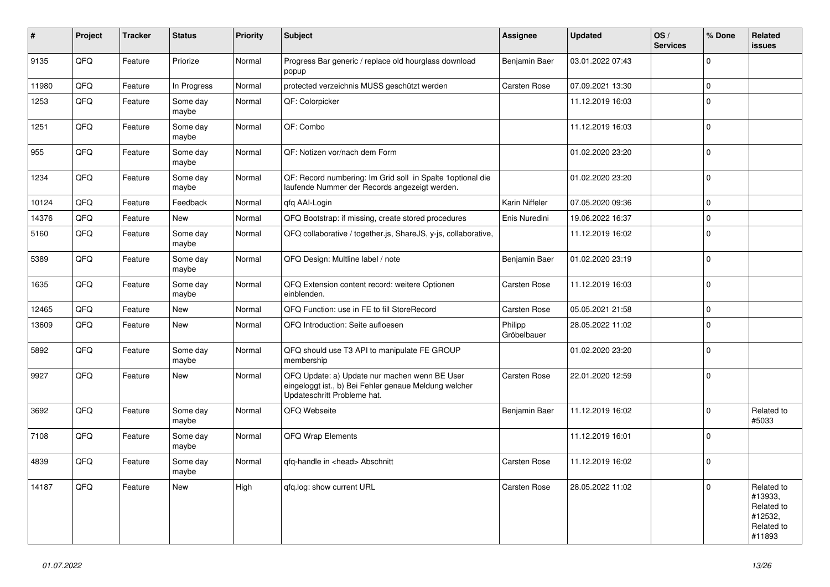| $\vert$ # | <b>Project</b> | <b>Tracker</b> | <b>Status</b>     | <b>Priority</b> | <b>Subject</b>                                                                                                                        | <b>Assignee</b>        | <b>Updated</b>   | OS/<br><b>Services</b> | % Done       | Related<br><b>issues</b>                                               |
|-----------|----------------|----------------|-------------------|-----------------|---------------------------------------------------------------------------------------------------------------------------------------|------------------------|------------------|------------------------|--------------|------------------------------------------------------------------------|
| 9135      | QFQ            | Feature        | Priorize          | Normal          | Progress Bar generic / replace old hourglass download<br>popup                                                                        | Benjamin Baer          | 03.01.2022 07:43 |                        | $\mathbf 0$  |                                                                        |
| 11980     | QFQ            | Feature        | In Progress       | Normal          | protected verzeichnis MUSS geschützt werden                                                                                           | Carsten Rose           | 07.09.2021 13:30 |                        | $\mathbf{0}$ |                                                                        |
| 1253      | QFQ            | Feature        | Some day<br>maybe | Normal          | QF: Colorpicker                                                                                                                       |                        | 11.12.2019 16:03 |                        | $\mathbf 0$  |                                                                        |
| 1251      | QFQ            | Feature        | Some day<br>maybe | Normal          | QF: Combo                                                                                                                             |                        | 11.12.2019 16:03 |                        | $\mathbf 0$  |                                                                        |
| 955       | QFQ            | Feature        | Some day<br>maybe | Normal          | QF: Notizen vor/nach dem Form                                                                                                         |                        | 01.02.2020 23:20 |                        | $\mathbf 0$  |                                                                        |
| 1234      | QFQ            | Feature        | Some day<br>maybe | Normal          | QF: Record numbering: Im Grid soll in Spalte 1 optional die<br>laufende Nummer der Records angezeigt werden.                          |                        | 01.02.2020 23:20 |                        | $\mathbf 0$  |                                                                        |
| 10124     | QFQ            | Feature        | Feedback          | Normal          | qfq AAI-Login                                                                                                                         | Karin Niffeler         | 07.05.2020 09:36 |                        | $\mathbf{0}$ |                                                                        |
| 14376     | QFQ            | Feature        | New               | Normal          | QFQ Bootstrap: if missing, create stored procedures                                                                                   | Enis Nuredini          | 19.06.2022 16:37 |                        | $\mathsf 0$  |                                                                        |
| 5160      | QFQ            | Feature        | Some day<br>maybe | Normal          | QFQ collaborative / together.js, ShareJS, y-js, collaborative,                                                                        |                        | 11.12.2019 16:02 |                        | $\mathsf 0$  |                                                                        |
| 5389      | QFQ            | Feature        | Some day<br>maybe | Normal          | QFQ Design: Multline label / note                                                                                                     | Benjamin Baer          | 01.02.2020 23:19 |                        | $\mathbf 0$  |                                                                        |
| 1635      | QFQ            | Feature        | Some day<br>maybe | Normal          | QFQ Extension content record: weitere Optionen<br>einblenden.                                                                         | Carsten Rose           | 11.12.2019 16:03 |                        | $\mathbf 0$  |                                                                        |
| 12465     | QFQ            | Feature        | New               | Normal          | QFQ Function: use in FE to fill StoreRecord                                                                                           | Carsten Rose           | 05.05.2021 21:58 |                        | $\mathbf 0$  |                                                                        |
| 13609     | QFQ            | Feature        | New               | Normal          | QFQ Introduction: Seite aufloesen                                                                                                     | Philipp<br>Gröbelbauer | 28.05.2022 11:02 |                        | $\mathbf 0$  |                                                                        |
| 5892      | QFQ            | Feature        | Some day<br>maybe | Normal          | QFQ should use T3 API to manipulate FE GROUP<br>membership                                                                            |                        | 01.02.2020 23:20 |                        | $\Omega$     |                                                                        |
| 9927      | QFQ            | Feature        | New               | Normal          | QFQ Update: a) Update nur machen wenn BE User<br>eingeloggt ist., b) Bei Fehler genaue Meldung welcher<br>Updateschritt Probleme hat. | Carsten Rose           | 22.01.2020 12:59 |                        | $\mathbf 0$  |                                                                        |
| 3692      | QFQ            | Feature        | Some day<br>maybe | Normal          | QFQ Webseite                                                                                                                          | Benjamin Baer          | 11.12.2019 16:02 |                        | $\mathbf 0$  | Related to<br>#5033                                                    |
| 7108      | QFQ            | Feature        | Some day<br>maybe | Normal          | QFQ Wrap Elements                                                                                                                     |                        | 11.12.2019 16:01 |                        | $\mathbf 0$  |                                                                        |
| 4839      | QFQ            | Feature        | Some day<br>maybe | Normal          | qfq-handle in <head> Abschnitt</head>                                                                                                 | Carsten Rose           | 11.12.2019 16:02 |                        | $\mathbf 0$  |                                                                        |
| 14187     | QFQ            | Feature        | New               | High            | qfq.log: show current URL                                                                                                             | <b>Carsten Rose</b>    | 28.05.2022 11:02 |                        | $\Omega$     | Related to<br>#13933,<br>Related to<br>#12532,<br>Related to<br>#11893 |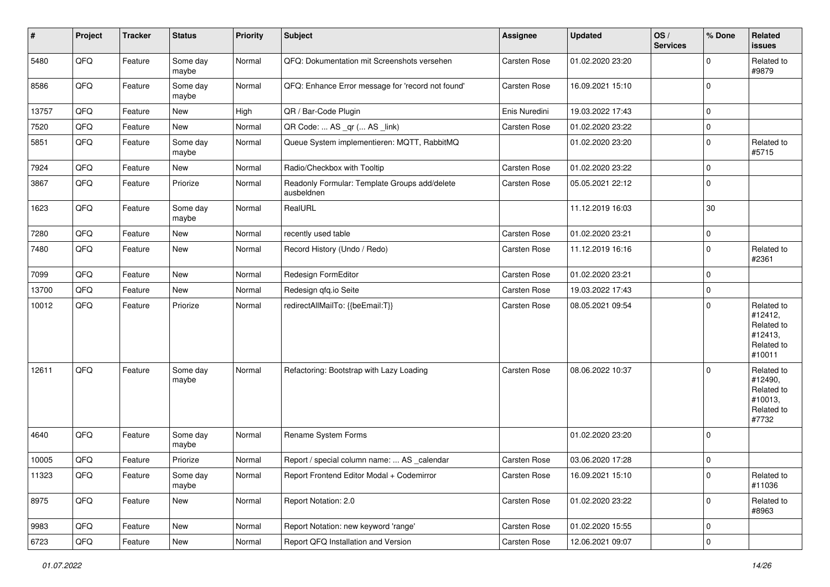| $\vert$ # | Project        | <b>Tracker</b> | <b>Status</b>     | Priority | <b>Subject</b>                                              | <b>Assignee</b>     | <b>Updated</b>   | OS/<br><b>Services</b> | % Done      | Related<br>issues                                                      |
|-----------|----------------|----------------|-------------------|----------|-------------------------------------------------------------|---------------------|------------------|------------------------|-------------|------------------------------------------------------------------------|
| 5480      | QFQ            | Feature        | Some day<br>maybe | Normal   | QFQ: Dokumentation mit Screenshots versehen                 | Carsten Rose        | 01.02.2020 23:20 |                        | $\mathbf 0$ | Related to<br>#9879                                                    |
| 8586      | QFQ            | Feature        | Some day<br>maybe | Normal   | QFQ: Enhance Error message for 'record not found'           | <b>Carsten Rose</b> | 16.09.2021 15:10 |                        | $\mathbf 0$ |                                                                        |
| 13757     | QFQ            | Feature        | New               | High     | QR / Bar-Code Plugin                                        | Enis Nuredini       | 19.03.2022 17:43 |                        | $\pmb{0}$   |                                                                        |
| 7520      | QFQ            | Feature        | New               | Normal   | QR Code:  AS _qr ( AS _link)                                | Carsten Rose        | 01.02.2020 23:22 |                        | $\pmb{0}$   |                                                                        |
| 5851      | QFQ            | Feature        | Some day<br>maybe | Normal   | Queue System implementieren: MQTT, RabbitMQ                 |                     | 01.02.2020 23:20 |                        | $\pmb{0}$   | Related to<br>#5715                                                    |
| 7924      | QFQ            | Feature        | New               | Normal   | Radio/Checkbox with Tooltip                                 | Carsten Rose        | 01.02.2020 23:22 |                        | $\mathbf 0$ |                                                                        |
| 3867      | QFQ            | Feature        | Priorize          | Normal   | Readonly Formular: Template Groups add/delete<br>ausbeldnen | <b>Carsten Rose</b> | 05.05.2021 22:12 |                        | $\pmb{0}$   |                                                                        |
| 1623      | QFQ            | Feature        | Some day<br>maybe | Normal   | RealURL                                                     |                     | 11.12.2019 16:03 |                        | 30          |                                                                        |
| 7280      | QFQ            | Feature        | New               | Normal   | recently used table                                         | Carsten Rose        | 01.02.2020 23:21 |                        | $\pmb{0}$   |                                                                        |
| 7480      | QFQ            | Feature        | New               | Normal   | Record History (Undo / Redo)                                | Carsten Rose        | 11.12.2019 16:16 |                        | $\mathbf 0$ | Related to<br>#2361                                                    |
| 7099      | QFQ            | Feature        | New               | Normal   | Redesign FormEditor                                         | Carsten Rose        | 01.02.2020 23:21 |                        | $\mathbf 0$ |                                                                        |
| 13700     | QFQ            | Feature        | New               | Normal   | Redesign qfq.io Seite                                       | Carsten Rose        | 19.03.2022 17:43 |                        | $\pmb{0}$   |                                                                        |
| 10012     | QFQ            | Feature        | Priorize          | Normal   | redirectAllMailTo: {{beEmail:T}}                            | Carsten Rose        | 08.05.2021 09:54 |                        | $\Omega$    | Related to<br>#12412,<br>Related to<br>#12413,<br>Related to<br>#10011 |
| 12611     | QFQ            | Feature        | Some day<br>maybe | Normal   | Refactoring: Bootstrap with Lazy Loading                    | <b>Carsten Rose</b> | 08.06.2022 10:37 |                        | $\mathbf 0$ | Related to<br>#12490,<br>Related to<br>#10013,<br>Related to<br>#7732  |
| 4640      | QFQ            | Feature        | Some day<br>maybe | Normal   | Rename System Forms                                         |                     | 01.02.2020 23:20 |                        | $\mathbf 0$ |                                                                        |
| 10005     | QFQ            | Feature        | Priorize          | Normal   | Report / special column name:  AS _calendar                 | Carsten Rose        | 03.06.2020 17:28 |                        | $\mathbf 0$ |                                                                        |
| 11323     | QFO            | Feature        | Some day<br>maybe | Normal   | Report Frontend Editor Modal + Codemirror                   | Carsten Rose        | 16.09.2021 15:10 |                        | 0           | Related to<br>#11036                                                   |
| 8975      | QFO            | Feature        | New               | Normal   | Report Notation: 2.0                                        | Carsten Rose        | 01.02.2020 23:22 |                        | $\mathbf 0$ | Related to<br>#8963                                                    |
| 9983      | QFQ            | Feature        | New               | Normal   | Report Notation: new keyword 'range'                        | Carsten Rose        | 01.02.2020 15:55 |                        | 0           |                                                                        |
| 6723      | $\mathsf{QFQ}$ | Feature        | New               | Normal   | Report QFQ Installation and Version                         | Carsten Rose        | 12.06.2021 09:07 |                        | $\pmb{0}$   |                                                                        |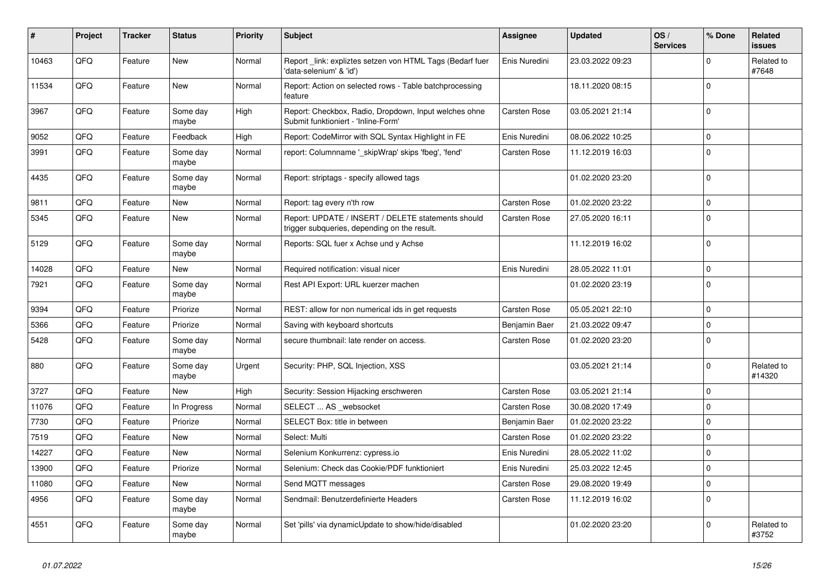| #     | Project | <b>Tracker</b> | <b>Status</b>     | <b>Priority</b> | <b>Subject</b>                                                                                     | <b>Assignee</b> | <b>Updated</b>   | OS/<br><b>Services</b> | % Done      | <b>Related</b><br><b>issues</b> |
|-------|---------|----------------|-------------------|-----------------|----------------------------------------------------------------------------------------------------|-----------------|------------------|------------------------|-------------|---------------------------------|
| 10463 | QFQ     | Feature        | <b>New</b>        | Normal          | Report _link: expliztes setzen von HTML Tags (Bedarf fuer<br>'data-selenium' & 'id')               | Enis Nuredini   | 23.03.2022 09:23 |                        | $\Omega$    | Related to<br>#7648             |
| 11534 | QFQ     | Feature        | New               | Normal          | Report: Action on selected rows - Table batchprocessing<br>feature                                 |                 | 18.11.2020 08:15 |                        | $\mathbf 0$ |                                 |
| 3967  | QFQ     | Feature        | Some day<br>maybe | High            | Report: Checkbox, Radio, Dropdown, Input welches ohne<br>Submit funktioniert - 'Inline-Form'       | Carsten Rose    | 03.05.2021 21:14 |                        | $\mathbf 0$ |                                 |
| 9052  | QFQ     | Feature        | Feedback          | High            | Report: CodeMirror with SQL Syntax Highlight in FE                                                 | Enis Nuredini   | 08.06.2022 10:25 |                        | $\mathbf 0$ |                                 |
| 3991  | QFQ     | Feature        | Some day<br>maybe | Normal          | report: Columnname '_skipWrap' skips 'fbeg', 'fend'                                                | Carsten Rose    | 11.12.2019 16:03 |                        | $\Omega$    |                                 |
| 4435  | QFQ     | Feature        | Some day<br>maybe | Normal          | Report: striptags - specify allowed tags                                                           |                 | 01.02.2020 23:20 |                        | $\mathbf 0$ |                                 |
| 9811  | QFQ     | Feature        | <b>New</b>        | Normal          | Report: tag every n'th row                                                                         | Carsten Rose    | 01.02.2020 23:22 |                        | $\mathbf 0$ |                                 |
| 5345  | QFQ     | Feature        | New               | Normal          | Report: UPDATE / INSERT / DELETE statements should<br>trigger subqueries, depending on the result. | Carsten Rose    | 27.05.2020 16:11 |                        | $\mathbf 0$ |                                 |
| 5129  | QFQ     | Feature        | Some day<br>maybe | Normal          | Reports: SQL fuer x Achse und y Achse                                                              |                 | 11.12.2019 16:02 |                        | $\mathbf 0$ |                                 |
| 14028 | QFQ     | Feature        | <b>New</b>        | Normal          | Required notification: visual nicer                                                                | Enis Nuredini   | 28.05.2022 11:01 |                        | $\mathbf 0$ |                                 |
| 7921  | QFQ     | Feature        | Some day<br>maybe | Normal          | Rest API Export: URL kuerzer machen                                                                |                 | 01.02.2020 23:19 |                        | $\mathbf 0$ |                                 |
| 9394  | QFQ     | Feature        | Priorize          | Normal          | REST: allow for non numerical ids in get requests                                                  | Carsten Rose    | 05.05.2021 22:10 |                        | $\mathbf 0$ |                                 |
| 5366  | QFQ     | Feature        | Priorize          | Normal          | Saving with keyboard shortcuts                                                                     | Benjamin Baer   | 21.03.2022 09:47 |                        | $\mathbf 0$ |                                 |
| 5428  | QFQ     | Feature        | Some day<br>maybe | Normal          | secure thumbnail: late render on access.                                                           | Carsten Rose    | 01.02.2020 23:20 |                        | $\mathbf 0$ |                                 |
| 880   | QFQ     | Feature        | Some day<br>maybe | Urgent          | Security: PHP, SQL Injection, XSS                                                                  |                 | 03.05.2021 21:14 |                        | $\mathbf 0$ | Related to<br>#14320            |
| 3727  | QFQ     | Feature        | New               | High            | Security: Session Hijacking erschweren                                                             | Carsten Rose    | 03.05.2021 21:14 |                        | $\Omega$    |                                 |
| 11076 | QFQ     | Feature        | In Progress       | Normal          | SELECT  AS _websocket                                                                              | Carsten Rose    | 30.08.2020 17:49 |                        | $\Omega$    |                                 |
| 7730  | QFQ     | Feature        | Priorize          | Normal          | SELECT Box: title in between                                                                       | Benjamin Baer   | 01.02.2020 23:22 |                        | $\mathbf 0$ |                                 |
| 7519  | QFQ     | Feature        | <b>New</b>        | Normal          | Select: Multi                                                                                      | Carsten Rose    | 01.02.2020 23:22 |                        | $\mathbf 0$ |                                 |
| 14227 | QFQ     | Feature        | <b>New</b>        | Normal          | Selenium Konkurrenz: cypress.io                                                                    | Enis Nuredini   | 28.05.2022 11:02 |                        | $\mathbf 0$ |                                 |
| 13900 | QFQ     | Feature        | Priorize          | Normal          | Selenium: Check das Cookie/PDF funktioniert                                                        | Enis Nuredini   | 25.03.2022 12:45 |                        | $\mathbf 0$ |                                 |
| 11080 | QFQ     | Feature        | New               | Normal          | Send MQTT messages                                                                                 | Carsten Rose    | 29.08.2020 19:49 |                        | $\pmb{0}$   |                                 |
| 4956  | QFQ     | Feature        | Some day<br>maybe | Normal          | Sendmail: Benutzerdefinierte Headers                                                               | Carsten Rose    | 11.12.2019 16:02 |                        | $\Omega$    |                                 |
| 4551  | QFQ     | Feature        | Some day<br>maybe | Normal          | Set 'pills' via dynamicUpdate to show/hide/disabled                                                |                 | 01.02.2020 23:20 |                        | $\mathbf 0$ | Related to<br>#3752             |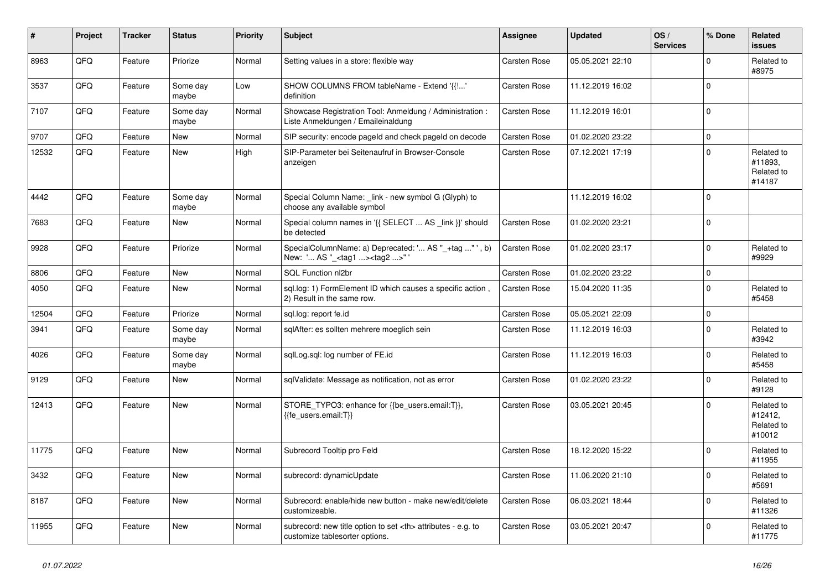| #     | Project | <b>Tracker</b> | <b>Status</b>     | <b>Priority</b> | <b>Subject</b>                                                                                       | <b>Assignee</b>                                        | <b>Updated</b>   | OS/<br><b>Services</b> | % Done       | Related<br><b>issues</b>                      |                      |
|-------|---------|----------------|-------------------|-----------------|------------------------------------------------------------------------------------------------------|--------------------------------------------------------|------------------|------------------------|--------------|-----------------------------------------------|----------------------|
| 8963  | QFQ     | Feature        | Priorize          | Normal          | Setting values in a store: flexible way                                                              | Carsten Rose                                           | 05.05.2021 22:10 |                        | $\Omega$     | Related to<br>#8975                           |                      |
| 3537  | QFQ     | Feature        | Some day<br>maybe | Low             | SHOW COLUMNS FROM tableName - Extend '{{!'<br>definition                                             | Carsten Rose                                           | 11.12.2019 16:02 |                        | $\mathbf 0$  |                                               |                      |
| 7107  | QFQ     | Feature        | Some day<br>maybe | Normal          | Showcase Registration Tool: Anmeldung / Administration :<br>Liste Anmeldungen / Emaileinaldung       | Carsten Rose                                           | 11.12.2019 16:01 |                        | $\Omega$     |                                               |                      |
| 9707  | QFQ     | Feature        | <b>New</b>        | Normal          | SIP security: encode pageld and check pageld on decode                                               | Carsten Rose                                           | 01.02.2020 23:22 |                        | $\mathbf 0$  |                                               |                      |
| 12532 | QFQ     | Feature        | <b>New</b>        | High            | SIP-Parameter bei Seitenaufruf in Browser-Console<br>anzeigen                                        | <b>Carsten Rose</b>                                    | 07.12.2021 17:19 |                        | $\Omega$     | Related to<br>#11893.<br>Related to<br>#14187 |                      |
| 4442  | QFQ     | Feature        | Some day<br>maybe | Normal          | Special Column Name: link - new symbol G (Glyph) to<br>choose any available symbol                   |                                                        | 11.12.2019 16:02 |                        | $\Omega$     |                                               |                      |
| 7683  | QFQ     | Feature        | <b>New</b>        | Normal          | Special column names in '{{ SELECT  AS _link }}' should<br>be detected                               | Carsten Rose                                           | 01.02.2020 23:21 |                        | $\Omega$     |                                               |                      |
| 9928  | QFQ     | Feature        | Priorize          | Normal          | SpecialColumnName: a) Deprecated: ' AS "_+tag " ', b)<br>New: ' AS "_ <tag1><tag2>"'</tag2></tag1>   | <b>Carsten Rose</b>                                    | 01.02.2020 23:17 |                        | $\mathbf 0$  | Related to<br>#9929                           |                      |
| 8806  | QFQ     | Feature        | <b>New</b>        | Normal          | SQL Function nl2br                                                                                   | <b>Carsten Rose</b>                                    | 01.02.2020 23:22 |                        | $\pmb{0}$    |                                               |                      |
| 4050  | QFQ     | Feature        | New               | Normal          | sql.log: 1) FormElement ID which causes a specific action,<br>2) Result in the same row.             | Carsten Rose                                           | 15.04.2020 11:35 |                        | $\Omega$     | Related to<br>#5458                           |                      |
| 12504 | QFQ     | Feature        | Priorize          | Normal          | sql.log: report fe.id                                                                                | Carsten Rose                                           | 05.05.2021 22:09 |                        | $\mathbf 0$  |                                               |                      |
| 3941  | QFQ     | Feature        | Some day<br>maybe | Normal          | sglAfter: es sollten mehrere moeglich sein                                                           | Carsten Rose                                           | 11.12.2019 16:03 |                        | $\mathbf 0$  | Related to<br>#3942                           |                      |
| 4026  | QFQ     | Feature        | Some day<br>maybe | Normal          | sglLog.sgl: log number of FE.id                                                                      | Carsten Rose                                           | 11.12.2019 16:03 |                        | $\mathbf 0$  | Related to<br>#5458                           |                      |
| 9129  | QFQ     | Feature        | New               | Normal          | sqlValidate: Message as notification, not as error                                                   | Carsten Rose                                           | 01.02.2020 23:22 |                        | $\Omega$     | Related to<br>#9128                           |                      |
| 12413 | QFQ     | Feature        | <b>New</b>        | Normal          | STORE TYPO3: enhance for {{be users.email:T}},<br>{{fe users.email:T}}                               | Carsten Rose                                           | 03.05.2021 20:45 |                        | $\Omega$     | Related to<br>#12412,<br>Related to<br>#10012 |                      |
| 11775 | QFQ     | Feature        | <b>New</b>        | Normal          | Subrecord Tooltip pro Feld                                                                           | Carsten Rose                                           | 18.12.2020 15:22 |                        | $\Omega$     | Related to<br>#11955                          |                      |
| 3432  | QFQ     | Feature        | <b>New</b>        | Normal          | subrecord: dynamicUpdate                                                                             | Carsten Rose                                           | 11.06.2020 21:10 |                        | $\mathbf{0}$ | Related to<br>#5691                           |                      |
| 8187  | QFQ     | Feature        | New               | Normal          | Subrecord: enable/hide new button - make new/edit/delete<br>customizeable.                           | Carsten Rose                                           | 06.03.2021 18:44 |                        | $\Omega$     | Related to<br>#11326                          |                      |
| 11955 | QFQ     | Feature        | <b>New</b>        | Normal          | subrecord: new title option to set <th> attributes - e.g. to<br/>customize tablesorter options.</th> | attributes - e.g. to<br>customize tablesorter options. | Carsten Rose     | 03.05.2021 20:47       |              | $\Omega$                                      | Related to<br>#11775 |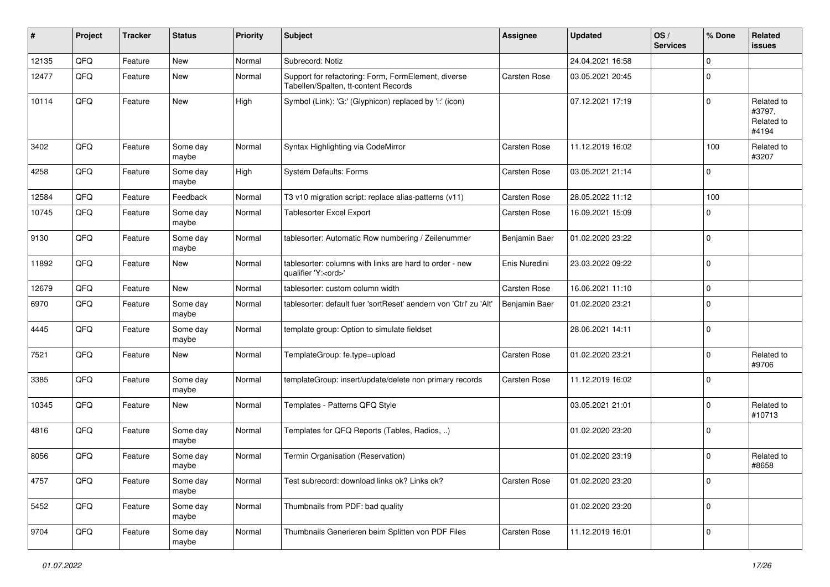| #     | Project | <b>Tracker</b> | <b>Status</b>     | <b>Priority</b> | <b>Subject</b>                                                                              | <b>Assignee</b> | <b>Updated</b>   | OS/<br><b>Services</b> | % Done      | Related<br><b>issues</b>                    |
|-------|---------|----------------|-------------------|-----------------|---------------------------------------------------------------------------------------------|-----------------|------------------|------------------------|-------------|---------------------------------------------|
| 12135 | QFQ     | Feature        | New               | Normal          | Subrecord: Notiz                                                                            |                 | 24.04.2021 16:58 |                        | $\mathbf 0$ |                                             |
| 12477 | QFQ     | Feature        | New               | Normal          | Support for refactoring: Form, FormElement, diverse<br>Tabellen/Spalten, tt-content Records | Carsten Rose    | 03.05.2021 20:45 |                        | $\mathbf 0$ |                                             |
| 10114 | QFQ     | Feature        | New               | High            | Symbol (Link): 'G:' (Glyphicon) replaced by 'i:' (icon)                                     |                 | 07.12.2021 17:19 |                        | $\mathbf 0$ | Related to<br>#3797,<br>Related to<br>#4194 |
| 3402  | QFQ     | Feature        | Some day<br>maybe | Normal          | Syntax Highlighting via CodeMirror                                                          | Carsten Rose    | 11.12.2019 16:02 |                        | 100         | Related to<br>#3207                         |
| 4258  | QFQ     | Feature        | Some day<br>maybe | High            | <b>System Defaults: Forms</b>                                                               | Carsten Rose    | 03.05.2021 21:14 |                        | $\mathbf 0$ |                                             |
| 12584 | QFQ     | Feature        | Feedback          | Normal          | T3 v10 migration script: replace alias-patterns (v11)                                       | Carsten Rose    | 28.05.2022 11:12 |                        | 100         |                                             |
| 10745 | QFQ     | Feature        | Some day<br>maybe | Normal          | <b>Tablesorter Excel Export</b>                                                             | Carsten Rose    | 16.09.2021 15:09 |                        | $\Omega$    |                                             |
| 9130  | QFQ     | Feature        | Some day<br>maybe | Normal          | tablesorter: Automatic Row numbering / Zeilenummer                                          | Benjamin Baer   | 01.02.2020 23:22 |                        | $\mathbf 0$ |                                             |
| 11892 | QFQ     | Feature        | New               | Normal          | tablesorter: columns with links are hard to order - new<br>qualifier 'Y: <ord>'</ord>       | Enis Nuredini   | 23.03.2022 09:22 |                        | $\mathbf 0$ |                                             |
| 12679 | QFQ     | Feature        | New               | Normal          | tablesorter: custom column width                                                            | Carsten Rose    | 16.06.2021 11:10 |                        | $\mathbf 0$ |                                             |
| 6970  | QFQ     | Feature        | Some day<br>maybe | Normal          | tablesorter: default fuer 'sortReset' aendern von 'Ctrl' zu 'Alt'                           | Benjamin Baer   | 01.02.2020 23:21 |                        | $\mathbf 0$ |                                             |
| 4445  | QFQ     | Feature        | Some day<br>maybe | Normal          | template group: Option to simulate fieldset                                                 |                 | 28.06.2021 14:11 |                        | $\mathbf 0$ |                                             |
| 7521  | QFQ     | Feature        | New               | Normal          | TemplateGroup: fe.type=upload                                                               | Carsten Rose    | 01.02.2020 23:21 |                        | $\mathbf 0$ | Related to<br>#9706                         |
| 3385  | QFQ     | Feature        | Some day<br>maybe | Normal          | templateGroup: insert/update/delete non primary records                                     | Carsten Rose    | 11.12.2019 16:02 |                        | $\mathbf 0$ |                                             |
| 10345 | QFQ     | Feature        | New               | Normal          | Templates - Patterns QFQ Style                                                              |                 | 03.05.2021 21:01 |                        | $\mathbf 0$ | Related to<br>#10713                        |
| 4816  | QFQ     | Feature        | Some day<br>maybe | Normal          | Templates for QFQ Reports (Tables, Radios, )                                                |                 | 01.02.2020 23:20 |                        | $\mathbf 0$ |                                             |
| 8056  | QFQ     | Feature        | Some day<br>maybe | Normal          | Termin Organisation (Reservation)                                                           |                 | 01.02.2020 23:19 |                        | $\mathbf 0$ | Related to<br>#8658                         |
| 4757  | QFQ     | Feature        | Some day<br>maybe | Normal          | Test subrecord: download links ok? Links ok?                                                | Carsten Rose    | 01.02.2020 23:20 |                        | $\pmb{0}$   |                                             |
| 5452  | QFQ     | Feature        | Some day<br>maybe | Normal          | Thumbnails from PDF: bad quality                                                            |                 | 01.02.2020 23:20 |                        | $\mathbf 0$ |                                             |
| 9704  | QFQ     | Feature        | Some day<br>maybe | Normal          | Thumbnails Generieren beim Splitten von PDF Files                                           | Carsten Rose    | 11.12.2019 16:01 |                        | $\mathbf 0$ |                                             |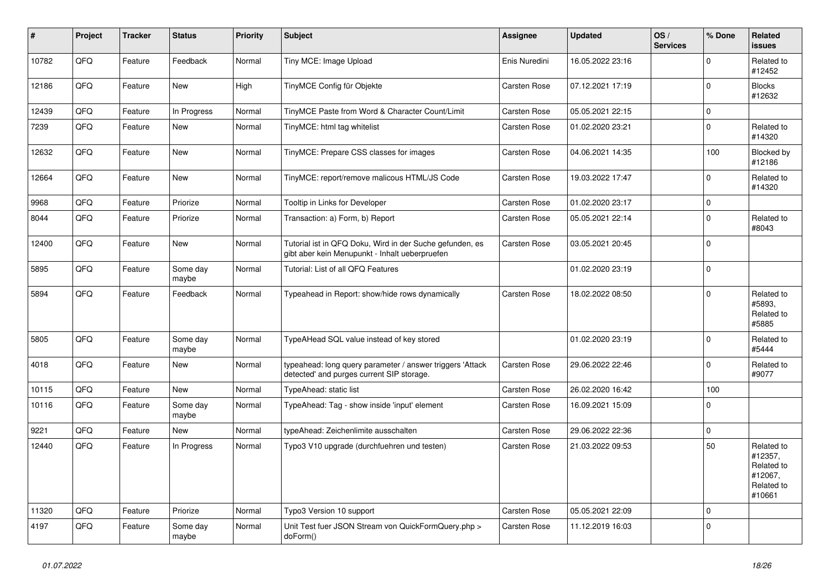| ∦     | Project | <b>Tracker</b> | <b>Status</b>     | <b>Priority</b> | <b>Subject</b>                                                                                             | <b>Assignee</b> | <b>Updated</b>   | OS/<br><b>Services</b> | % Done       | Related<br><b>issues</b>                                               |
|-------|---------|----------------|-------------------|-----------------|------------------------------------------------------------------------------------------------------------|-----------------|------------------|------------------------|--------------|------------------------------------------------------------------------|
| 10782 | QFQ     | Feature        | Feedback          | Normal          | Tiny MCE: Image Upload                                                                                     | Enis Nuredini   | 16.05.2022 23:16 |                        | $\mathbf 0$  | Related to<br>#12452                                                   |
| 12186 | QFQ     | Feature        | New               | High            | TinyMCE Config für Objekte                                                                                 | Carsten Rose    | 07.12.2021 17:19 |                        | $\pmb{0}$    | <b>Blocks</b><br>#12632                                                |
| 12439 | QFQ     | Feature        | In Progress       | Normal          | TinyMCE Paste from Word & Character Count/Limit                                                            | Carsten Rose    | 05.05.2021 22:15 |                        | $\pmb{0}$    |                                                                        |
| 7239  | QFQ     | Feature        | New               | Normal          | TinyMCE: html tag whitelist                                                                                | Carsten Rose    | 01.02.2020 23:21 |                        | $\pmb{0}$    | Related to<br>#14320                                                   |
| 12632 | QFQ     | Feature        | <b>New</b>        | Normal          | TinyMCE: Prepare CSS classes for images                                                                    | Carsten Rose    | 04.06.2021 14:35 |                        | 100          | Blocked by<br>#12186                                                   |
| 12664 | QFQ     | Feature        | New               | Normal          | TinyMCE: report/remove malicous HTML/JS Code                                                               | Carsten Rose    | 19.03.2022 17:47 |                        | $\mathbf 0$  | Related to<br>#14320                                                   |
| 9968  | QFQ     | Feature        | Priorize          | Normal          | Tooltip in Links for Developer                                                                             | Carsten Rose    | 01.02.2020 23:17 |                        | $\pmb{0}$    |                                                                        |
| 8044  | QFQ     | Feature        | Priorize          | Normal          | Transaction: a) Form, b) Report                                                                            | Carsten Rose    | 05.05.2021 22:14 |                        | $\mathbf 0$  | Related to<br>#8043                                                    |
| 12400 | QFQ     | Feature        | New               | Normal          | Tutorial ist in QFQ Doku, Wird in der Suche gefunden, es<br>gibt aber kein Menupunkt - Inhalt ueberpruefen | Carsten Rose    | 03.05.2021 20:45 |                        | $\mathbf 0$  |                                                                        |
| 5895  | QFQ     | Feature        | Some day<br>maybe | Normal          | Tutorial: List of all QFQ Features                                                                         |                 | 01.02.2020 23:19 |                        | $\mathbf 0$  |                                                                        |
| 5894  | QFQ     | Feature        | Feedback          | Normal          | Typeahead in Report: show/hide rows dynamically                                                            | Carsten Rose    | 18.02.2022 08:50 |                        | $\mathbf{0}$ | Related to<br>#5893,<br>Related to<br>#5885                            |
| 5805  | QFQ     | Feature        | Some day<br>maybe | Normal          | TypeAHead SQL value instead of key stored                                                                  |                 | 01.02.2020 23:19 |                        | $\mathbf 0$  | Related to<br>#5444                                                    |
| 4018  | QFQ     | Feature        | <b>New</b>        | Normal          | typeahead: long query parameter / answer triggers 'Attack<br>detected' and purges current SIP storage.     | Carsten Rose    | 29.06.2022 22:46 |                        | $\Omega$     | Related to<br>#9077                                                    |
| 10115 | QFQ     | Feature        | <b>New</b>        | Normal          | TypeAhead: static list                                                                                     | Carsten Rose    | 26.02.2020 16:42 |                        | 100          |                                                                        |
| 10116 | QFQ     | Feature        | Some day<br>maybe | Normal          | TypeAhead: Tag - show inside 'input' element                                                               | Carsten Rose    | 16.09.2021 15:09 |                        | $\mathbf 0$  |                                                                        |
| 9221  | QFQ     | Feature        | New               | Normal          | typeAhead: Zeichenlimite ausschalten                                                                       | Carsten Rose    | 29.06.2022 22:36 |                        | $\pmb{0}$    |                                                                        |
| 12440 | QFQ     | Feature        | In Progress       | Normal          | Typo3 V10 upgrade (durchfuehren und testen)                                                                | Carsten Rose    | 21.03.2022 09:53 |                        | 50           | Related to<br>#12357,<br>Related to<br>#12067,<br>Related to<br>#10661 |
| 11320 | QFQ     | Feature        | Priorize          | Normal          | Typo3 Version 10 support                                                                                   | Carsten Rose    | 05.05.2021 22:09 |                        | $\mathbf 0$  |                                                                        |
| 4197  | QFQ     | Feature        | Some day<br>maybe | Normal          | Unit Test fuer JSON Stream von QuickFormQuery.php ><br>doForm()                                            | Carsten Rose    | 11.12.2019 16:03 |                        | $\mathbf 0$  |                                                                        |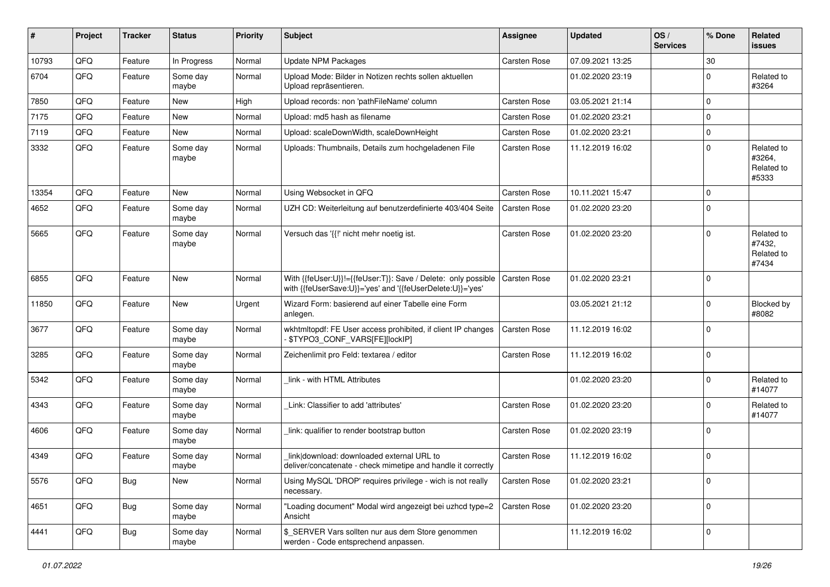| #     | Project | <b>Tracker</b> | <b>Status</b>     | <b>Priority</b> | Subject                                                                                                                    | <b>Assignee</b>     | <b>Updated</b>   | OS/<br><b>Services</b> | % Done      | Related<br>issues                           |
|-------|---------|----------------|-------------------|-----------------|----------------------------------------------------------------------------------------------------------------------------|---------------------|------------------|------------------------|-------------|---------------------------------------------|
| 10793 | QFQ     | Feature        | In Progress       | Normal          | <b>Update NPM Packages</b>                                                                                                 | <b>Carsten Rose</b> | 07.09.2021 13:25 |                        | 30          |                                             |
| 6704  | QFQ     | Feature        | Some day<br>maybe | Normal          | Upload Mode: Bilder in Notizen rechts sollen aktuellen<br>Upload repräsentieren.                                           |                     | 01.02.2020 23:19 |                        | $\mathbf 0$ | Related to<br>#3264                         |
| 7850  | QFQ     | Feature        | New               | High            | Upload records: non 'pathFileName' column                                                                                  | <b>Carsten Rose</b> | 03.05.2021 21:14 |                        | $\mathbf 0$ |                                             |
| 7175  | QFQ     | Feature        | New               | Normal          | Upload: md5 hash as filename                                                                                               | Carsten Rose        | 01.02.2020 23:21 |                        | $\mathbf 0$ |                                             |
| 7119  | QFQ     | Feature        | New               | Normal          | Upload: scaleDownWidth, scaleDownHeight                                                                                    | Carsten Rose        | 01.02.2020 23:21 |                        | $\mathbf 0$ |                                             |
| 3332  | QFQ     | Feature        | Some day<br>maybe | Normal          | Uploads: Thumbnails, Details zum hochgeladenen File                                                                        | Carsten Rose        | 11.12.2019 16:02 |                        | $\Omega$    | Related to<br>#3264,<br>Related to<br>#5333 |
| 13354 | QFQ     | Feature        | New               | Normal          | Using Websocket in QFQ                                                                                                     | Carsten Rose        | 10.11.2021 15:47 |                        | $\mathbf 0$ |                                             |
| 4652  | QFQ     | Feature        | Some day<br>maybe | Normal          | UZH CD: Weiterleitung auf benutzerdefinierte 403/404 Seite                                                                 | Carsten Rose        | 01.02.2020 23:20 |                        | $\Omega$    |                                             |
| 5665  | QFQ     | Feature        | Some day<br>maybe | Normal          | Versuch das '{{!' nicht mehr noetig ist.                                                                                   | Carsten Rose        | 01.02.2020 23:20 |                        | $\mathbf 0$ | Related to<br>#7432,<br>Related to<br>#7434 |
| 6855  | QFQ     | Feature        | New               | Normal          | With {{feUser:U}}!={{feUser:T}}: Save / Delete: only possible<br>with {{feUserSave:U}}='yes' and '{{feUserDelete:U}}='yes' | Carsten Rose        | 01.02.2020 23:21 |                        | $\Omega$    |                                             |
| 11850 | QFQ     | Feature        | New               | Urgent          | Wizard Form: basierend auf einer Tabelle eine Form<br>anlegen.                                                             |                     | 03.05.2021 21:12 |                        | $\mathbf 0$ | Blocked by<br>#8082                         |
| 3677  | QFQ     | Feature        | Some day<br>maybe | Normal          | wkhtmltopdf: FE User access prohibited, if client IP changes<br>\$TYPO3_CONF_VARS[FE][lockIP]                              | Carsten Rose        | 11.12.2019 16:02 |                        | $\Omega$    |                                             |
| 3285  | QFQ     | Feature        | Some day<br>maybe | Normal          | Zeichenlimit pro Feld: textarea / editor                                                                                   | Carsten Rose        | 11.12.2019 16:02 |                        | $\mathbf 0$ |                                             |
| 5342  | QFQ     | Feature        | Some day<br>maybe | Normal          | link - with HTML Attributes                                                                                                |                     | 01.02.2020 23:20 |                        | $\Omega$    | Related to<br>#14077                        |
| 4343  | QFQ     | Feature        | Some day<br>maybe | Normal          | Link: Classifier to add 'attributes'                                                                                       | Carsten Rose        | 01.02.2020 23:20 |                        | $\Omega$    | Related to<br>#14077                        |
| 4606  | QFQ     | Feature        | Some day<br>maybe | Normal          | link: qualifier to render bootstrap button                                                                                 | Carsten Rose        | 01.02.2020 23:19 |                        | $\Omega$    |                                             |
| 4349  | QFQ     | Feature        | Some day<br>maybe | Normal          | link download: downloaded external URL to<br>deliver/concatenate - check mimetipe and handle it correctly                  | Carsten Rose        | 11.12.2019 16:02 |                        | $\mathbf 0$ |                                             |
| 5576  | QFQ     | <b>Bug</b>     | New               | Normal          | Using MySQL 'DROP' requires privilege - wich is not really<br>necessary.                                                   | Carsten Rose        | 01.02.2020 23:21 |                        | $\mathbf 0$ |                                             |
| 4651  | QFQ     | <b>Bug</b>     | Some day<br>maybe | Normal          | "Loading document" Modal wird angezeigt bei uzhcd type=2<br>Ansicht                                                        | Carsten Rose        | 01.02.2020 23:20 |                        | $\mathbf 0$ |                                             |
| 4441  | QFQ     | Bug            | Some day<br>maybe | Normal          | \$ SERVER Vars sollten nur aus dem Store genommen<br>werden - Code entsprechend anpassen.                                  |                     | 11.12.2019 16:02 |                        | $\mathbf 0$ |                                             |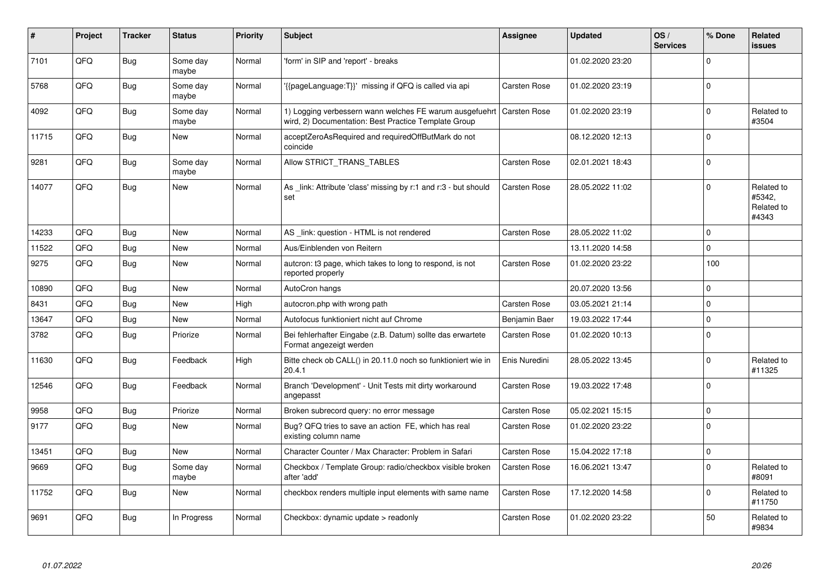| #     | Project | <b>Tracker</b> | <b>Status</b>     | <b>Priority</b> | <b>Subject</b>                                                                                                  | <b>Assignee</b>     | <b>Updated</b>   | OS/<br><b>Services</b> | % Done      | Related<br><b>issues</b>                    |
|-------|---------|----------------|-------------------|-----------------|-----------------------------------------------------------------------------------------------------------------|---------------------|------------------|------------------------|-------------|---------------------------------------------|
| 7101  | QFQ     | Bug            | Some day<br>maybe | Normal          | 'form' in SIP and 'report' - breaks                                                                             |                     | 01.02.2020 23:20 |                        | $\mathbf 0$ |                                             |
| 5768  | QFQ     | <b>Bug</b>     | Some day<br>maybe | Normal          | {{pageLanguage:T}}' missing if QFQ is called via api                                                            | Carsten Rose        | 01.02.2020 23:19 |                        | $\mathbf 0$ |                                             |
| 4092  | QFQ     | <b>Bug</b>     | Some day<br>maybe | Normal          | 1) Logging verbessern wann welches FE warum ausgefuehrt<br>wird, 2) Documentation: Best Practice Template Group | <b>Carsten Rose</b> | 01.02.2020 23:19 |                        | $\pmb{0}$   | Related to<br>#3504                         |
| 11715 | QFQ     | <b>Bug</b>     | New               | Normal          | acceptZeroAsRequired and requiredOffButMark do not<br>coincide                                                  |                     | 08.12.2020 12:13 |                        | $\Omega$    |                                             |
| 9281  | QFQ     | <b>Bug</b>     | Some day<br>maybe | Normal          | Allow STRICT TRANS TABLES                                                                                       | Carsten Rose        | 02.01.2021 18:43 |                        | $\Omega$    |                                             |
| 14077 | QFQ     | <b>Bug</b>     | New               | Normal          | As _link: Attribute 'class' missing by r:1 and r:3 - but should<br>set                                          | Carsten Rose        | 28.05.2022 11:02 |                        | $\mathbf 0$ | Related to<br>#5342,<br>Related to<br>#4343 |
| 14233 | QFQ     | <b>Bug</b>     | <b>New</b>        | Normal          | AS _link: question - HTML is not rendered                                                                       | Carsten Rose        | 28.05.2022 11:02 |                        | $\mathbf 0$ |                                             |
| 11522 | QFQ     | <b>Bug</b>     | <b>New</b>        | Normal          | Aus/Einblenden von Reitern                                                                                      |                     | 13.11.2020 14:58 |                        | $\mathbf 0$ |                                             |
| 9275  | QFQ     | Bug            | New               | Normal          | autcron: t3 page, which takes to long to respond, is not<br>reported properly                                   | <b>Carsten Rose</b> | 01.02.2020 23:22 |                        | 100         |                                             |
| 10890 | QFQ     | Bug            | <b>New</b>        | Normal          | AutoCron hangs                                                                                                  |                     | 20.07.2020 13:56 |                        | $\mathbf 0$ |                                             |
| 8431  | QFQ     | <b>Bug</b>     | New               | High            | autocron.php with wrong path                                                                                    | Carsten Rose        | 03.05.2021 21:14 |                        | $\Omega$    |                                             |
| 13647 | QFQ     | Bug            | New               | Normal          | Autofocus funktioniert nicht auf Chrome                                                                         | Benjamin Baer       | 19.03.2022 17:44 |                        | $\pmb{0}$   |                                             |
| 3782  | QFQ     | <b>Bug</b>     | Priorize          | Normal          | Bei fehlerhafter Eingabe (z.B. Datum) sollte das erwartete<br>Format angezeigt werden                           | Carsten Rose        | 01.02.2020 10:13 |                        | $\mathbf 0$ |                                             |
| 11630 | QFQ     | <b>Bug</b>     | Feedback          | High            | Bitte check ob CALL() in 20.11.0 noch so funktioniert wie in<br>20.4.1                                          | Enis Nuredini       | 28.05.2022 13:45 |                        | $\Omega$    | Related to<br>#11325                        |
| 12546 | QFQ     | <b>Bug</b>     | Feedback          | Normal          | Branch 'Development' - Unit Tests mit dirty workaround<br>angepasst                                             | Carsten Rose        | 19.03.2022 17:48 |                        | $\Omega$    |                                             |
| 9958  | QFQ     | <b>Bug</b>     | Priorize          | Normal          | Broken subrecord query: no error message                                                                        | Carsten Rose        | 05.02.2021 15:15 |                        | $\mathbf 0$ |                                             |
| 9177  | QFQ     | Bug            | New               | Normal          | Bug? QFQ tries to save an action FE, which has real<br>existing column name                                     | Carsten Rose        | 01.02.2020 23:22 |                        | $\Omega$    |                                             |
| 13451 | QFQ     | <b>Bug</b>     | New               | Normal          | Character Counter / Max Character: Problem in Safari                                                            | Carsten Rose        | 15.04.2022 17:18 |                        | $\pmb{0}$   |                                             |
| 9669  | QFQ     | Bug            | Some day<br>maybe | Normal          | Checkbox / Template Group: radio/checkbox visible broken<br>after 'add'                                         | <b>Carsten Rose</b> | 16.06.2021 13:47 |                        | $\mathbf 0$ | Related to<br>#8091                         |
| 11752 | QFQ     | <b>Bug</b>     | New               | Normal          | checkbox renders multiple input elements with same name                                                         | Carsten Rose        | 17.12.2020 14:58 |                        | $\mathbf 0$ | Related to<br>#11750                        |
| 9691  | QFQ     | Bug            | In Progress       | Normal          | Checkbox: dynamic update > readonly                                                                             | Carsten Rose        | 01.02.2020 23:22 |                        | 50          | Related to<br>#9834                         |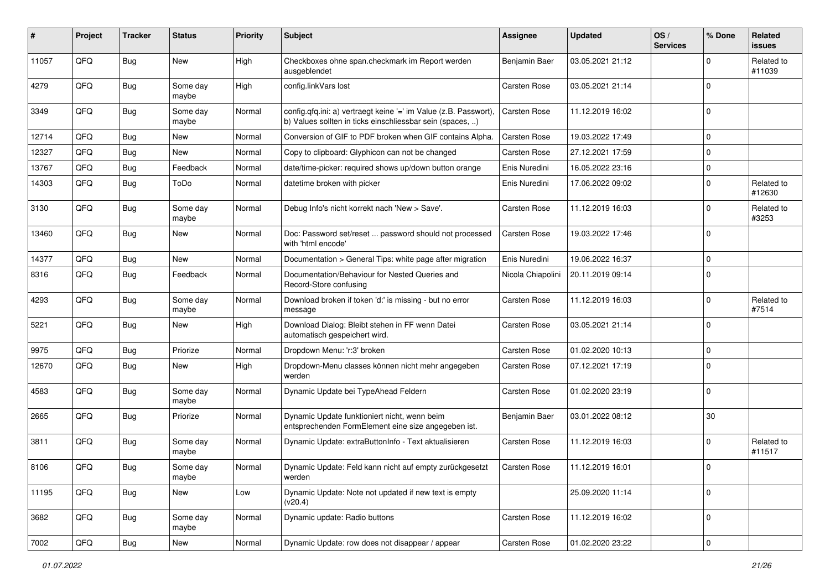| #     | Project | <b>Tracker</b> | <b>Status</b>     | <b>Priority</b> | <b>Subject</b>                                                                                                                | <b>Assignee</b>     | <b>Updated</b>   | OS/<br><b>Services</b> | % Done              | Related<br><b>issues</b> |
|-------|---------|----------------|-------------------|-----------------|-------------------------------------------------------------------------------------------------------------------------------|---------------------|------------------|------------------------|---------------------|--------------------------|
| 11057 | QFQ     | Bug            | New               | High            | Checkboxes ohne span.checkmark im Report werden<br>ausgeblendet                                                               | Benjamin Baer       | 03.05.2021 21:12 |                        | $\mathbf 0$         | Related to<br>#11039     |
| 4279  | QFQ     | Bug            | Some day<br>maybe | High            | config.linkVars lost                                                                                                          | Carsten Rose        | 03.05.2021 21:14 |                        | $\mathbf 0$         |                          |
| 3349  | QFQ     | <b>Bug</b>     | Some day<br>maybe | Normal          | config.qfq.ini: a) vertraegt keine '=' im Value (z.B. Passwort),<br>b) Values sollten in ticks einschliessbar sein (spaces, ) | Carsten Rose        | 11.12.2019 16:02 |                        | $\mathbf 0$         |                          |
| 12714 | QFQ     | Bug            | New               | Normal          | Conversion of GIF to PDF broken when GIF contains Alpha.                                                                      | Carsten Rose        | 19.03.2022 17:49 |                        | $\mathbf 0$         |                          |
| 12327 | QFQ     | Bug            | <b>New</b>        | Normal          | Copy to clipboard: Glyphicon can not be changed                                                                               | <b>Carsten Rose</b> | 27.12.2021 17:59 |                        | $\mathbf 0$         |                          |
| 13767 | QFQ     | Bug            | Feedback          | Normal          | date/time-picker: required shows up/down button orange                                                                        | Enis Nuredini       | 16.05.2022 23:16 |                        | $\mathbf 0$         |                          |
| 14303 | QFQ     | Bug            | ToDo              | Normal          | datetime broken with picker                                                                                                   | Enis Nuredini       | 17.06.2022 09:02 |                        | $\mathbf 0$         | Related to<br>#12630     |
| 3130  | QFQ     | <b>Bug</b>     | Some day<br>maybe | Normal          | Debug Info's nicht korrekt nach 'New > Save'.                                                                                 | Carsten Rose        | 11.12.2019 16:03 |                        | $\mathbf 0$         | Related to<br>#3253      |
| 13460 | QFQ     | <b>Bug</b>     | New               | Normal          | Doc: Password set/reset  password should not processed<br>with 'html encode'                                                  | Carsten Rose        | 19.03.2022 17:46 |                        | $\mathbf 0$         |                          |
| 14377 | QFQ     | Bug            | <b>New</b>        | Normal          | Documentation > General Tips: white page after migration                                                                      | Enis Nuredini       | 19.06.2022 16:37 |                        | $\mathbf 0$         |                          |
| 8316  | QFQ     | Bug            | Feedback          | Normal          | Documentation/Behaviour for Nested Queries and<br>Record-Store confusing                                                      | Nicola Chiapolini   | 20.11.2019 09:14 |                        | $\mathbf 0$         |                          |
| 4293  | QFQ     | Bug            | Some day<br>maybe | Normal          | Download broken if token 'd:' is missing - but no error<br>message                                                            | Carsten Rose        | 11.12.2019 16:03 |                        | $\mathbf 0$         | Related to<br>#7514      |
| 5221  | QFQ     | Bug            | <b>New</b>        | High            | Download Dialog: Bleibt stehen in FF wenn Datei<br>automatisch gespeichert wird.                                              | Carsten Rose        | 03.05.2021 21:14 |                        | $\mathbf 0$         |                          |
| 9975  | QFQ     | Bug            | Priorize          | Normal          | Dropdown Menu: 'r:3' broken                                                                                                   | Carsten Rose        | 01.02.2020 10:13 |                        | $\mathbf 0$         |                          |
| 12670 | QFQ     | <b>Bug</b>     | <b>New</b>        | High            | Dropdown-Menu classes können nicht mehr angegeben<br>werden                                                                   | Carsten Rose        | 07.12.2021 17:19 |                        | $\Omega$            |                          |
| 4583  | QFQ     | Bug            | Some day<br>maybe | Normal          | Dynamic Update bei TypeAhead Feldern                                                                                          | Carsten Rose        | 01.02.2020 23:19 |                        | $\mathbf 0$         |                          |
| 2665  | QFQ     | Bug            | Priorize          | Normal          | Dynamic Update funktioniert nicht, wenn beim<br>entsprechenden FormElement eine size angegeben ist.                           | Benjamin Baer       | 03.01.2022 08:12 |                        | 30                  |                          |
| 3811  | QFQ     | Bug            | Some day<br>maybe | Normal          | Dynamic Update: extraButtonInfo - Text aktualisieren                                                                          | Carsten Rose        | 11.12.2019 16:03 |                        | $\mathbf 0$         | Related to<br>#11517     |
| 8106  | QFQ     | Bug            | Some day<br>maybe | Normal          | Dynamic Update: Feld kann nicht auf empty zurückgesetzt<br>werden                                                             | Carsten Rose        | 11.12.2019 16:01 |                        | $\Omega$            |                          |
| 11195 | QFQ     | Bug            | New               | Low             | Dynamic Update: Note not updated if new text is empty<br>(v20.4)                                                              |                     | 25.09.2020 11:14 |                        | $\mathbf 0$         |                          |
| 3682  | QFQ     | Bug            | Some day<br>maybe | Normal          | Dynamic update: Radio buttons                                                                                                 | Carsten Rose        | 11.12.2019 16:02 |                        | $\mathbf 0$         |                          |
| 7002  | QFG     | Bug            | New               | Normal          | Dynamic Update: row does not disappear / appear                                                                               | Carsten Rose        | 01.02.2020 23:22 |                        | $\mathsf{O}\xspace$ |                          |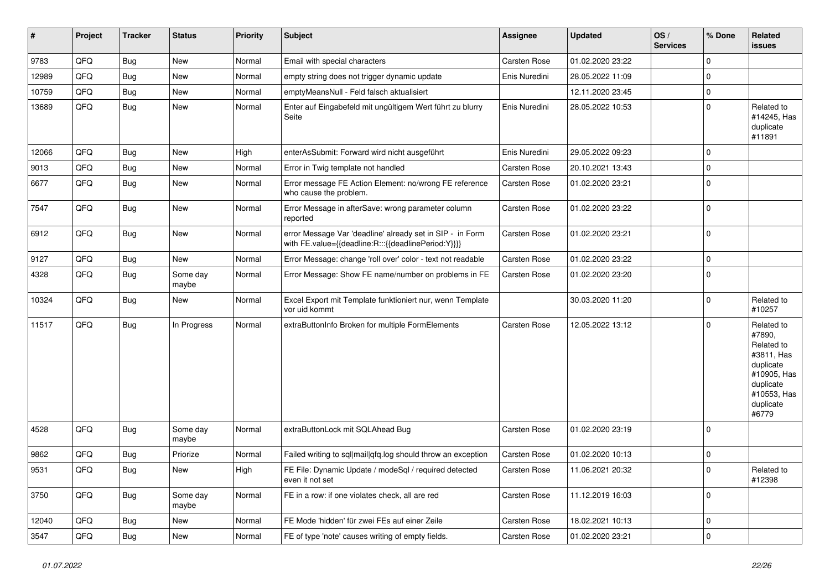| $\vert$ # | Project | <b>Tracker</b> | <b>Status</b>     | <b>Priority</b> | <b>Subject</b>                                                                                                   | <b>Assignee</b>     | <b>Updated</b>   | OS/<br><b>Services</b> | % Done         | Related<br><b>issues</b>                                                                                                       |
|-----------|---------|----------------|-------------------|-----------------|------------------------------------------------------------------------------------------------------------------|---------------------|------------------|------------------------|----------------|--------------------------------------------------------------------------------------------------------------------------------|
| 9783      | QFQ     | Bug            | <b>New</b>        | Normal          | Email with special characters                                                                                    | Carsten Rose        | 01.02.2020 23:22 |                        | $\mathbf 0$    |                                                                                                                                |
| 12989     | QFQ     | Bug            | <b>New</b>        | Normal          | empty string does not trigger dynamic update                                                                     | Enis Nuredini       | 28.05.2022 11:09 |                        | $\mathbf 0$    |                                                                                                                                |
| 10759     | QFQ     | Bug            | <b>New</b>        | Normal          | emptyMeansNull - Feld falsch aktualisiert                                                                        |                     | 12.11.2020 23:45 |                        | $\pmb{0}$      |                                                                                                                                |
| 13689     | QFQ     | <b>Bug</b>     | <b>New</b>        | Normal          | Enter auf Eingabefeld mit ungültigem Wert führt zu blurry<br>Seite                                               | Enis Nuredini       | 28.05.2022 10:53 |                        | $\mathbf 0$    | Related to<br>#14245, Has<br>duplicate<br>#11891                                                                               |
| 12066     | QFQ     | <b>Bug</b>     | <b>New</b>        | High            | enterAsSubmit: Forward wird nicht ausgeführt                                                                     | Enis Nuredini       | 29.05.2022 09:23 |                        | $\mathbf 0$    |                                                                                                                                |
| 9013      | QFQ     | Bug            | New               | Normal          | Error in Twig template not handled                                                                               | Carsten Rose        | 20.10.2021 13:43 |                        | $\mathbf 0$    |                                                                                                                                |
| 6677      | QFQ     | Bug            | <b>New</b>        | Normal          | Error message FE Action Element: no/wrong FE reference<br>who cause the problem.                                 | Carsten Rose        | 01.02.2020 23:21 |                        | $\mathbf 0$    |                                                                                                                                |
| 7547      | QFQ     | Bug            | <b>New</b>        | Normal          | Error Message in afterSave: wrong parameter column<br>reported                                                   | Carsten Rose        | 01.02.2020 23:22 |                        | 0              |                                                                                                                                |
| 6912      | QFQ     | Bug            | <b>New</b>        | Normal          | error Message Var 'deadline' already set in SIP - in Form<br>with FE.value={{deadline:R:::{{deadlinePeriod:Y}}}} | Carsten Rose        | 01.02.2020 23:21 |                        | $\overline{0}$ |                                                                                                                                |
| 9127      | QFQ     | Bug            | New               | Normal          | Error Message: change 'roll over' color - text not readable                                                      | Carsten Rose        | 01.02.2020 23:22 |                        | $\pmb{0}$      |                                                                                                                                |
| 4328      | QFQ     | Bug            | Some day<br>maybe | Normal          | Error Message: Show FE name/number on problems in FE                                                             | Carsten Rose        | 01.02.2020 23:20 |                        | $\pmb{0}$      |                                                                                                                                |
| 10324     | QFQ     | <b>Bug</b>     | <b>New</b>        | Normal          | Excel Export mit Template funktioniert nur, wenn Template<br>vor uid kommt                                       |                     | 30.03.2020 11:20 |                        | $\pmb{0}$      | Related to<br>#10257                                                                                                           |
| 11517     | QFQ     | <b>Bug</b>     | In Progress       | Normal          | extraButtonInfo Broken for multiple FormElements                                                                 | Carsten Rose        | 12.05.2022 13:12 |                        | $\mathbf 0$    | Related to<br>#7890,<br>Related to<br>#3811, Has<br>duplicate<br>#10905, Has<br>duplicate<br>#10553, Has<br>duplicate<br>#6779 |
| 4528      | QFQ     | <b>Bug</b>     | Some day<br>maybe | Normal          | extraButtonLock mit SQLAhead Bug                                                                                 | Carsten Rose        | 01.02.2020 23:19 |                        | $\mathbf 0$    |                                                                                                                                |
| 9862      | QFQ     | <b>Bug</b>     | Priorize          | Normal          | Failed writing to sql mail qfq.log should throw an exception                                                     | <b>Carsten Rose</b> | 01.02.2020 10:13 |                        | $\pmb{0}$      |                                                                                                                                |
| 9531      | QFQ     | <b>Bug</b>     | New               | High            | FE File: Dynamic Update / modeSql / required detected<br>even it not set                                         | Carsten Rose        | 11.06.2021 20:32 |                        | $\mathbf 0$    | Related to<br>#12398                                                                                                           |
| 3750      | QFQ     | Bug            | Some day<br>maybe | Normal          | FE in a row: if one violates check, all are red                                                                  | Carsten Rose        | 11.12.2019 16:03 |                        | $\mathbf 0$    |                                                                                                                                |
| 12040     | QFQ     | <b>Bug</b>     | <b>New</b>        | Normal          | FE Mode 'hidden' für zwei FEs auf einer Zeile                                                                    | Carsten Rose        | 18.02.2021 10:13 |                        | $\pmb{0}$      |                                                                                                                                |
| 3547      | QFQ     | <b>Bug</b>     | <b>New</b>        | Normal          | FE of type 'note' causes writing of empty fields.                                                                | Carsten Rose        | 01.02.2020 23:21 |                        | $\pmb{0}$      |                                                                                                                                |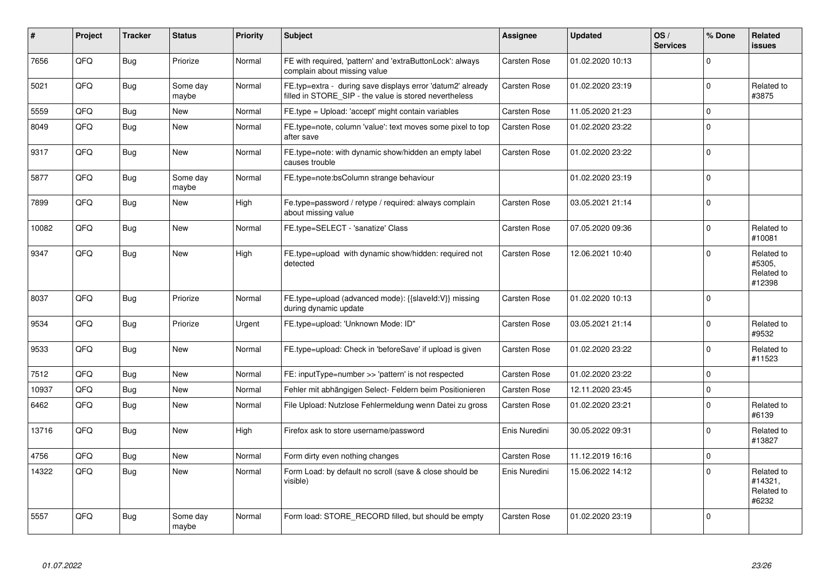| #     | Project | <b>Tracker</b> | <b>Status</b>     | <b>Priority</b> | Subject                                                                                                              | <b>Assignee</b>     | <b>Updated</b>   | OS/<br><b>Services</b> | % Done      | Related<br><b>issues</b>                     |
|-------|---------|----------------|-------------------|-----------------|----------------------------------------------------------------------------------------------------------------------|---------------------|------------------|------------------------|-------------|----------------------------------------------|
| 7656  | QFQ     | Bug            | Priorize          | Normal          | FE with required, 'pattern' and 'extraButtonLock': always<br>complain about missing value                            | Carsten Rose        | 01.02.2020 10:13 |                        | $\Omega$    |                                              |
| 5021  | QFQ     | <b>Bug</b>     | Some day<br>maybe | Normal          | FE.typ=extra - during save displays error 'datum2' already<br>filled in STORE_SIP - the value is stored nevertheless | Carsten Rose        | 01.02.2020 23:19 |                        | $\mathbf 0$ | Related to<br>#3875                          |
| 5559  | QFQ     | <b>Bug</b>     | New               | Normal          | FE.type = Upload: 'accept' might contain variables                                                                   | Carsten Rose        | 11.05.2020 21:23 |                        | $\pmb{0}$   |                                              |
| 8049  | QFQ     | Bug            | New               | Normal          | FE.type=note, column 'value': text moves some pixel to top<br>after save                                             | Carsten Rose        | 01.02.2020 23:22 |                        | $\Omega$    |                                              |
| 9317  | QFQ     | <b>Bug</b>     | New               | Normal          | FE.type=note: with dynamic show/hidden an empty label<br>causes trouble                                              | Carsten Rose        | 01.02.2020 23:22 |                        | $\mathbf 0$ |                                              |
| 5877  | QFQ     | <b>Bug</b>     | Some day<br>maybe | Normal          | FE.type=note:bsColumn strange behaviour                                                                              |                     | 01.02.2020 23:19 |                        | $\Omega$    |                                              |
| 7899  | QFQ     | Bug            | New               | High            | Fe.type=password / retype / required: always complain<br>about missing value                                         | Carsten Rose        | 03.05.2021 21:14 |                        | $\mathbf 0$ |                                              |
| 10082 | QFQ     | Bug            | New               | Normal          | FE.type=SELECT - 'sanatize' Class                                                                                    | Carsten Rose        | 07.05.2020 09:36 |                        | $\mathbf 0$ | Related to<br>#10081                         |
| 9347  | QFQ     | <b>Bug</b>     | New               | High            | FE.type=upload with dynamic show/hidden: required not<br>detected                                                    | Carsten Rose        | 12.06.2021 10:40 |                        | $\Omega$    | Related to<br>#5305,<br>Related to<br>#12398 |
| 8037  | QFQ     | Bug            | Priorize          | Normal          | FE.type=upload (advanced mode): {{slaveId:V}} missing<br>during dynamic update                                       | Carsten Rose        | 01.02.2020 10:13 |                        | $\mathbf 0$ |                                              |
| 9534  | QFQ     | <b>Bug</b>     | Priorize          | Urgent          | FE.type=upload: 'Unknown Mode: ID"                                                                                   | <b>Carsten Rose</b> | 03.05.2021 21:14 |                        | $\Omega$    | Related to<br>#9532                          |
| 9533  | QFQ     | Bug            | <b>New</b>        | Normal          | FE.type=upload: Check in 'beforeSave' if upload is given                                                             | Carsten Rose        | 01.02.2020 23:22 |                        | $\mathbf 0$ | Related to<br>#11523                         |
| 7512  | QFQ     | Bug            | <b>New</b>        | Normal          | FE: inputType=number >> 'pattern' is not respected                                                                   | Carsten Rose        | 01.02.2020 23:22 |                        | $\mathbf 0$ |                                              |
| 10937 | QFQ     | <b>Bug</b>     | <b>New</b>        | Normal          | Fehler mit abhängigen Select- Feldern beim Positionieren                                                             | <b>Carsten Rose</b> | 12.11.2020 23:45 |                        | $\mathbf 0$ |                                              |
| 6462  | QFQ     | <b>Bug</b>     | New               | Normal          | File Upload: Nutzlose Fehlermeldung wenn Datei zu gross                                                              | <b>Carsten Rose</b> | 01.02.2020 23:21 |                        | $\Omega$    | Related to<br>#6139                          |
| 13716 | QFQ     | Bug            | <b>New</b>        | High            | Firefox ask to store username/password                                                                               | Enis Nuredini       | 30.05.2022 09:31 |                        | $\Omega$    | Related to<br>#13827                         |
| 4756  | QFQ     | <b>Bug</b>     | New               | Normal          | Form dirty even nothing changes                                                                                      | Carsten Rose        | 11.12.2019 16:16 |                        | $\mathbf 0$ |                                              |
| 14322 | QFQ     | Bug            | <b>New</b>        | Normal          | Form Load: by default no scroll (save & close should be<br>visible)                                                  | Enis Nuredini       | 15.06.2022 14:12 |                        | $\Omega$    | Related to<br>#14321,<br>Related to<br>#6232 |
| 5557  | QFQ     | Bug            | Some day<br>maybe | Normal          | Form load: STORE_RECORD filled, but should be empty                                                                  | Carsten Rose        | 01.02.2020 23:19 |                        | $\Omega$    |                                              |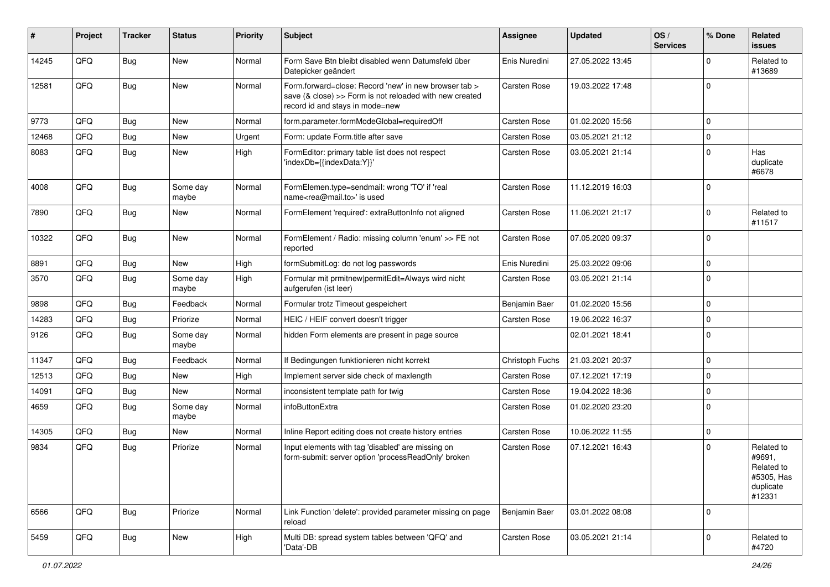| #     | Project | <b>Tracker</b> | <b>Status</b>     | <b>Priority</b> | Subject                                                                                                                                             | <b>Assignee</b> | <b>Updated</b>   | OS/<br><b>Services</b> | % Done      | Related<br>issues                                                       |
|-------|---------|----------------|-------------------|-----------------|-----------------------------------------------------------------------------------------------------------------------------------------------------|-----------------|------------------|------------------------|-------------|-------------------------------------------------------------------------|
| 14245 | QFQ     | Bug            | <b>New</b>        | Normal          | Form Save Btn bleibt disabled wenn Datumsfeld über<br>Datepicker geändert                                                                           | Enis Nuredini   | 27.05.2022 13:45 |                        | $\Omega$    | Related to<br>#13689                                                    |
| 12581 | QFQ     | Bug            | <b>New</b>        | Normal          | Form.forward=close: Record 'new' in new browser tab ><br>save (& close) >> Form is not reloaded with new created<br>record id and stays in mode=new | Carsten Rose    | 19.03.2022 17:48 |                        | 0           |                                                                         |
| 9773  | QFQ     | <b>Bug</b>     | <b>New</b>        | Normal          | form.parameter.formModeGlobal=requiredOff                                                                                                           | Carsten Rose    | 01.02.2020 15:56 |                        | $\mathbf 0$ |                                                                         |
| 12468 | QFQ     | <b>Bug</b>     | New               | Urgent          | Form: update Form.title after save                                                                                                                  | Carsten Rose    | 03.05.2021 21:12 |                        | $\mathbf 0$ |                                                                         |
| 8083  | QFQ     | <b>Bug</b>     | <b>New</b>        | High            | FormEditor: primary table list does not respect<br>'indexDb={{indexData:Y}}'                                                                        | Carsten Rose    | 03.05.2021 21:14 |                        | $\mathbf 0$ | Has<br>duplicate<br>#6678                                               |
| 4008  | QFQ     | <b>Bug</b>     | Some day<br>maybe | Normal          | FormElemen.type=sendmail: wrong 'TO' if 'real<br>name <rea@mail.to>' is used</rea@mail.to>                                                          | Carsten Rose    | 11.12.2019 16:03 |                        | $\Omega$    |                                                                         |
| 7890  | QFQ     | <b>Bug</b>     | <b>New</b>        | Normal          | FormElement 'required': extraButtonInfo not aligned                                                                                                 | Carsten Rose    | 11.06.2021 21:17 |                        | 0           | Related to<br>#11517                                                    |
| 10322 | QFQ     | Bug            | <b>New</b>        | Normal          | FormElement / Radio: missing column 'enum' >> FE not<br>reported                                                                                    | Carsten Rose    | 07.05.2020 09:37 |                        | $\mathbf 0$ |                                                                         |
| 8891  | QFQ     | Bug            | <b>New</b>        | High            | formSubmitLog: do not log passwords                                                                                                                 | Enis Nuredini   | 25.03.2022 09:06 |                        | $\mathbf 0$ |                                                                         |
| 3570  | QFQ     | Bug            | Some day<br>maybe | High            | Formular mit prmitnew permitEdit=Always wird nicht<br>aufgerufen (ist leer)                                                                         | Carsten Rose    | 03.05.2021 21:14 |                        | $\Omega$    |                                                                         |
| 9898  | QFQ     | Bug            | Feedback          | Normal          | Formular trotz Timeout gespeichert                                                                                                                  | Benjamin Baer   | 01.02.2020 15:56 |                        | $\mathbf 0$ |                                                                         |
| 14283 | QFQ     | Bug            | Priorize          | Normal          | HEIC / HEIF convert doesn't trigger                                                                                                                 | Carsten Rose    | 19.06.2022 16:37 |                        | $\mathbf 0$ |                                                                         |
| 9126  | QFQ     | <b>Bug</b>     | Some day<br>maybe | Normal          | hidden Form elements are present in page source                                                                                                     |                 | 02.01.2021 18:41 |                        | $\Omega$    |                                                                         |
| 11347 | QFQ     | Bug            | Feedback          | Normal          | If Bedingungen funktionieren nicht korrekt                                                                                                          | Christoph Fuchs | 21.03.2021 20:37 |                        | $\mathbf 0$ |                                                                         |
| 12513 | QFQ     | Bug            | <b>New</b>        | High            | Implement server side check of maxlength                                                                                                            | Carsten Rose    | 07.12.2021 17:19 |                        | $\mathbf 0$ |                                                                         |
| 14091 | QFQ     | <b>Bug</b>     | <b>New</b>        | Normal          | inconsistent template path for twig                                                                                                                 | Carsten Rose    | 19.04.2022 18:36 |                        | $\mathbf 0$ |                                                                         |
| 4659  | QFQ     | <b>Bug</b>     | Some day<br>maybe | Normal          | infoButtonExtra                                                                                                                                     | Carsten Rose    | 01.02.2020 23:20 |                        | $\Omega$    |                                                                         |
| 14305 | QFQ     | Bug            | New               | Normal          | Inline Report editing does not create history entries                                                                                               | Carsten Rose    | 10.06.2022 11:55 |                        | $\mathbf 0$ |                                                                         |
| 9834  | QFQ     | Bug            | Priorize          | Normal          | Input elements with tag 'disabled' are missing on<br>form-submit: server option 'processReadOnly' broken                                            | Carsten Rose    | 07.12.2021 16:43 |                        | $\Omega$    | Related to<br>#9691.<br>Related to<br>#5305, Has<br>duplicate<br>#12331 |
| 6566  | QFQ     | Bug            | Priorize          | Normal          | Link Function 'delete': provided parameter missing on page<br>reload                                                                                | Benjamin Baer   | 03.01.2022 08:08 |                        | $\Omega$    |                                                                         |
| 5459  | QFQ     | Bug            | New               | High            | Multi DB: spread system tables between 'QFQ' and<br>'Data'-DB                                                                                       | Carsten Rose    | 03.05.2021 21:14 |                        | $\mathbf 0$ | Related to<br>#4720                                                     |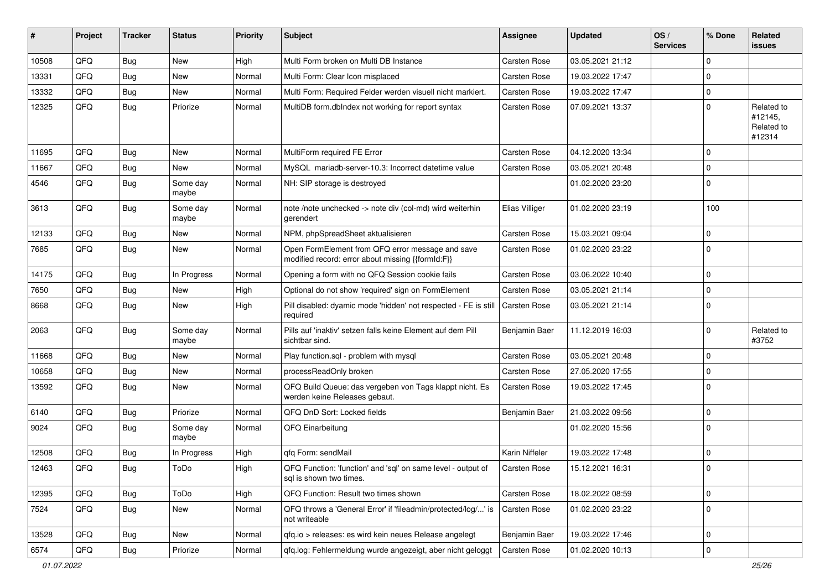| #     | Project | <b>Tracker</b> | <b>Status</b>     | <b>Priority</b> | Subject                                                                                               | <b>Assignee</b>     | <b>Updated</b>   | OS/<br><b>Services</b> | % Done      | Related<br>issues                             |
|-------|---------|----------------|-------------------|-----------------|-------------------------------------------------------------------------------------------------------|---------------------|------------------|------------------------|-------------|-----------------------------------------------|
| 10508 | QFQ     | Bug            | <b>New</b>        | High            | Multi Form broken on Multi DB Instance                                                                | <b>Carsten Rose</b> | 03.05.2021 21:12 |                        | $\Omega$    |                                               |
| 13331 | QFQ     | Bug            | <b>New</b>        | Normal          | Multi Form: Clear Icon misplaced                                                                      | Carsten Rose        | 19.03.2022 17:47 |                        | 0           |                                               |
| 13332 | QFQ     | <b>Bug</b>     | New               | Normal          | Multi Form: Required Felder werden visuell nicht markiert.                                            | Carsten Rose        | 19.03.2022 17:47 |                        | 0           |                                               |
| 12325 | QFQ     | <b>Bug</b>     | Priorize          | Normal          | MultiDB form.dbIndex not working for report syntax                                                    | Carsten Rose        | 07.09.2021 13:37 |                        | $\Omega$    | Related to<br>#12145,<br>Related to<br>#12314 |
| 11695 | QFQ     | Bug            | New               | Normal          | MultiForm required FE Error                                                                           | Carsten Rose        | 04.12.2020 13:34 |                        | $\Omega$    |                                               |
| 11667 | QFQ     | Bug            | New               | Normal          | MySQL mariadb-server-10.3: Incorrect datetime value                                                   | Carsten Rose        | 03.05.2021 20:48 |                        | 0           |                                               |
| 4546  | QFQ     | Bug            | Some day<br>maybe | Normal          | NH: SIP storage is destroyed                                                                          |                     | 01.02.2020 23:20 |                        | 0           |                                               |
| 3613  | QFQ     | <b>Bug</b>     | Some day<br>maybe | Normal          | note /note unchecked -> note div (col-md) wird weiterhin<br>gerendert                                 | Elias Villiger      | 01.02.2020 23:19 |                        | 100         |                                               |
| 12133 | QFQ     | Bug            | New               | Normal          | NPM, phpSpreadSheet aktualisieren                                                                     | Carsten Rose        | 15.03.2021 09:04 |                        | $\mathbf 0$ |                                               |
| 7685  | QFQ     | <b>Bug</b>     | <b>New</b>        | Normal          | Open FormElement from QFQ error message and save<br>modified record: error about missing {{formId:F}} | Carsten Rose        | 01.02.2020 23:22 |                        | $\Omega$    |                                               |
| 14175 | QFQ     | <b>Bug</b>     | In Progress       | Normal          | Opening a form with no QFQ Session cookie fails                                                       | Carsten Rose        | 03.06.2022 10:40 |                        | $\mathbf 0$ |                                               |
| 7650  | QFQ     | Bug            | <b>New</b>        | High            | Optional do not show 'required' sign on FormElement                                                   | Carsten Rose        | 03.05.2021 21:14 |                        | 0           |                                               |
| 8668  | QFQ     | Bug            | New               | High            | Pill disabled: dyamic mode 'hidden' not respected - FE is still<br>required                           | <b>Carsten Rose</b> | 03.05.2021 21:14 |                        | $\Omega$    |                                               |
| 2063  | QFQ     | Bug            | Some day<br>maybe | Normal          | Pills auf 'inaktiv' setzen falls keine Element auf dem Pill<br>sichtbar sind.                         | Benjamin Baer       | 11.12.2019 16:03 |                        | 0           | Related to<br>#3752                           |
| 11668 | QFQ     | Bug            | New               | Normal          | Play function.sql - problem with mysql                                                                | <b>Carsten Rose</b> | 03.05.2021 20:48 |                        | 0           |                                               |
| 10658 | QFQ     | Bug            | <b>New</b>        | Normal          | processReadOnly broken                                                                                | Carsten Rose        | 27.05.2020 17:55 |                        | $\Omega$    |                                               |
| 13592 | QFQ     | <b>Bug</b>     | New               | Normal          | QFQ Build Queue: das vergeben von Tags klappt nicht. Es<br>werden keine Releases gebaut.              | Carsten Rose        | 19.03.2022 17:45 |                        | $\Omega$    |                                               |
| 6140  | QFQ     | Bug            | Priorize          | Normal          | QFQ DnD Sort: Locked fields                                                                           | Benjamin Baer       | 21.03.2022 09:56 |                        | $\Omega$    |                                               |
| 9024  | QFQ     | Bug            | Some day<br>maybe | Normal          | QFQ Einarbeitung                                                                                      |                     | 01.02.2020 15:56 |                        | 0           |                                               |
| 12508 | QFQ     | Bug            | In Progress       | High            | qfq Form: sendMail                                                                                    | Karin Niffeler      | 19.03.2022 17:48 |                        | 0           |                                               |
| 12463 | QFQ     | Bug            | ToDo              | High            | QFQ Function: 'function' and 'sql' on same level - output of<br>sql is shown two times.               | Carsten Rose        | 15.12.2021 16:31 |                        | $\mathbf 0$ |                                               |
| 12395 | QFQ     | Bug            | ToDo              | High            | QFQ Function: Result two times shown                                                                  | Carsten Rose        | 18.02.2022 08:59 |                        | $\mathbf 0$ |                                               |
| 7524  | QFQ     | <b>Bug</b>     | New               | Normal          | QFQ throws a 'General Error' if 'fileadmin/protected/log/' is<br>not writeable                        | Carsten Rose        | 01.02.2020 23:22 |                        | 0           |                                               |
| 13528 | QFQ     | <b>Bug</b>     | New               | Normal          | qfq.io > releases: es wird kein neues Release angelegt                                                | Benjamin Baer       | 19.03.2022 17:46 |                        | $\mathbf 0$ |                                               |
| 6574  | QFQ     | <b>Bug</b>     | Priorize          | Normal          | qfq.log: Fehlermeldung wurde angezeigt, aber nicht geloggt                                            | Carsten Rose        | 01.02.2020 10:13 |                        | 0           |                                               |